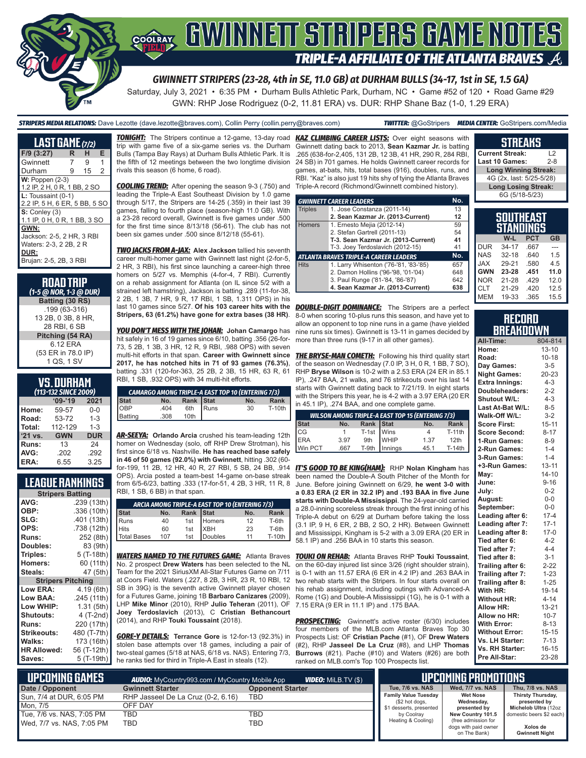

# GWINNEIT STRIPERS GAME NOTES **TRIPLE-A AFFILIATE OF THE ATLANTA BRAVES**

*GWINNETT STRIPERS (23-28, 4th in SE, 11.0 GB) at DURHAM BULLS (34-17, 1st in SE, 1.5 GA)*

Saturday, July 3, 2021 • 6:35 PM • Durham Bulls Athletic Park, Durham, NC • Game #52 of 120 • Road Game #29 GWN: RHP Jose Rodriguez (0-2, 11.81 ERA) vs. DUR: RHP Shane Baz (1-0, 1.29 ERA)

*STRIPERS MEDIA RELATIONS:* Dave Lezotte (dave.lezotte@braves.com), Collin Perry (collin.perry@braves.com) *TWITTER:* @GoStripers *MEDIA CENTER:* GoStripers.com/Media

| <b>LAST GAME</b> (7/2)                                                                        |   |    |   |
|-----------------------------------------------------------------------------------------------|---|----|---|
| $F/9$ (3:27)                                                                                  | R | н  | Е |
| Gwinnett                                                                                      | 7 | 9  | 1 |
| Durham                                                                                        | 9 | 15 | 2 |
| $W: Poppen (2-3)$<br>1.2 IP, 2 H, 0 R, 1 BB, 2 SO                                             |   |    |   |
| $L:$ Toussaint $(0-1)$<br>2.2 IP, 5 H, 6 ER, 5 BB, 5 SO                                       |   |    |   |
| $S:$ Conley $(3)$<br>1.1 IP, 0 H, 0 R, 1 BB, 3 SO                                             |   |    |   |
| GWN:<br>Jackson: 2-5, 2 HR, 3 RBI<br>Waters: 2-3, 2 2B, 2 R<br>DUR:<br>Brujan: 2-5, 2B, 3 RBI |   |    |   |

| <b>ROAD TRIP</b><br>(1-5 @ NOR, 1-3 @ DUR) |
|--------------------------------------------|
| Batting (30 RS)                            |
| .199 (63-316)                              |
| 13 2B, 0 3B, 8 HR,                         |
| 28 RBI, 6 SB                               |
| Pitching (54 RA)                           |
| 6 12 FRA                                   |
| (53 ER in 78.0 IP)                         |
| 1 QS, 1 SV                                 |

#### **VS. DURHAM**

| (113-132 SINCE 2009) |            |            |  |  |  |  |
|----------------------|------------|------------|--|--|--|--|
|                      | $09 - 19$  | 2021       |  |  |  |  |
| Home:                | 59-57      | $0 - 0$    |  |  |  |  |
| Road:                | 53-72      | $1 - 3$    |  |  |  |  |
| Total:               | 112-129    | $1 - 3$    |  |  |  |  |
| '21 vs.              | <b>GWN</b> | <b>DUR</b> |  |  |  |  |
| Runs:                | 13         | 24         |  |  |  |  |
| AVG:                 | .202       | .292       |  |  |  |  |
| ERA:                 | 6.55       | 3.25       |  |  |  |  |

#### **LEAGUE RANKINGS**

| <b>Stripers Batting</b>  |             |  |  |  |  |  |
|--------------------------|-------------|--|--|--|--|--|
| AVG:                     | .239 (13th) |  |  |  |  |  |
| OBP:                     | .336 (10th) |  |  |  |  |  |
| SLG:                     | .401 (13th) |  |  |  |  |  |
| OPS:                     | .738 (12th) |  |  |  |  |  |
| <b>Runs:</b>             | 252 (8th)   |  |  |  |  |  |
| <b>Doubles:</b>          | 83 (9th)    |  |  |  |  |  |
| Triples:                 | 5 (T-18th)  |  |  |  |  |  |
| <b>Homers:</b>           | 60 (11th)   |  |  |  |  |  |
| Steals:                  | 47 (5th)    |  |  |  |  |  |
| <b>Stripers Pitching</b> |             |  |  |  |  |  |
| <b>Low ERA:</b>          | 4.19 (6th)  |  |  |  |  |  |
| Low BAA:                 | .245 (11th) |  |  |  |  |  |
| Low WHIP:                | 1.31 (5th)  |  |  |  |  |  |
| <b>Shutouts:</b>         | 4 (T-2nd)   |  |  |  |  |  |
| Runs:                    | 220 (17th)  |  |  |  |  |  |
| <b>Strikeouts:</b>       | 480 (T-7th) |  |  |  |  |  |
| Walks:                   | 173 (16th)  |  |  |  |  |  |
| <b>HR Allowed:</b>       | 56 (T-12th) |  |  |  |  |  |
| Saves:                   | 5 (T-19th)  |  |  |  |  |  |
|                          |             |  |  |  |  |  |

trip with game five of a six-game series vs. the Durham Bulls (Tampa Bay Rays) at Durham Bulls Athletic Park. It is the fifth of 12 meetings between the two longtime division rivals this season (6 home, 6 road).

leading the Triple-A East Southeast Division by 1.0 game through 5/17, the Stripers are 14-25 (.359) in their last 39 games, falling to fourth place (season-high 11.0 GB). With a 23-28 record overall, Gwinnett is five games under .500 for the first time since 8/13/18 (56-61). The club has not been six games under .500 since 8/12/18 (55-61).

*TWO JACKS FROM A-JAX:* **Alex Jackson** tallied his seventh career multi-homer game with Gwinnett last night (2-for-5, 2 HR, 3 RBI), his first since launching a career-high three homers on 5/27 vs. Memphis (4-for-4, 7 RBI). Currently on a rehab assignment for Atlanta (on IL since 5/2 with a strained left hamstring), Jackson is batting .289 (11-for-38, 2 2B, 1 3B, 7 HR, 9 R, 17 RBI, 1 SB, 1.311 OPS) in his last 10 games since 5/27. **Of his 103 career hits with the**  *DOUBLE-DIGIT DOMINANCE:* The Stripers are a perfect **Stripers, 63 (61.2%) have gone for extra bases (38 HR)**.

*YOU DON'T MESS WITH THE JOHAN:* **Johan Camargo** has hit safely in 16 of 19 games since 6/10, batting .356 (26-for-73, 5 2B, 1 3B, 3 HR, 12 R, 9 RBI, .988 OPS) with seven multi-hit efforts in that span. **Career with Gwinnett since 2017, he has notched hits in 71 of 93 games (76.3%)**, batting .331 (120-for-363, 25 2B, 2 3B, 15 HR, 63 R, 61 RBI, 1 SB, .932 OPS) with 34 multi-hit efforts.

| <b>CAMARGO AMONG TRIPLE-A EAST TOP 10 (ENTERING 7/3)</b> |      |           |               |     | starts with Gwinnett dating back to 7/21/19. In eight s<br>with the Stripers this year, he is 4-2 with a 3.97 ERA (2) |                                                         |
|----------------------------------------------------------|------|-----------|---------------|-----|-----------------------------------------------------------------------------------------------------------------------|---------------------------------------------------------|
| <b>Stat</b>                                              | No.  | Rank Stat |               | No. | <b>Rank</b>                                                                                                           | in 45.1 IP), .274 BAA, and one complete game.           |
| <b>OBP</b>                                               | .404 | 6th       | <b>I</b> Runs | 30  | $T-10th$                                                                                                              |                                                         |
| Batting                                                  | .308 | 10th      |               |     |                                                                                                                       | <b>WILSON AMONG TRIPLE-A EAST TOP 15 (ENTERING 7/3)</b> |
|                                                          |      |           |               |     |                                                                                                                       |                                                         |

*AR-SEEYA:* **Orlando Arcia** crushed his team-leading 12th homer on Wednesday (solo, off RHP Drew Strotman), his first since 6/18 vs. Nashville. **He has reached base safely in 46 of 50 games (92.0%) with Gwinnett**, hitting .302 (60- OPS). Arcia posted a team-best 14-game on-base streak from 6/5-6/23, batting .333 (17-for-51, 4 2B, 3 HR, 11 R, 8 RBI, 1 SB, 6 BB) in that span.

| ARCIA AMONG TRIPLE-A EAST TOP 10 (ENTERING 7/3) |     |  |                                                   |     |               |  |
|-------------------------------------------------|-----|--|---------------------------------------------------|-----|---------------|--|
| Stat                                            | No. |  |                                                   | No. | Rank          |  |
| Runs                                            | 40  |  |                                                   | 12  | T-6th         |  |
| Hits                                            | 60  |  |                                                   | 23  | T-6th         |  |
| <b>Total Bases</b>                              | 107 |  | Rank Stat<br>1st Homers<br>1st XBH<br>1st Doubles | 11  | <b>T-10th</b> |  |
|                                                 |     |  |                                                   |     |               |  |

*WATERS NAMED TO THE FUTURES GAME:* Atlanta Braves No. 2 prospect **Drew Waters** has been selected to the NL Team for the 2021 SiriusXM All-Star Futures Game on 7/11 at Coors Field. Waters (.227, 8 2B, 3 HR, 23 R, 10 RBI, 12 SB in 39G) is the seventh active Gwinnett player chosen for a Futures Game, joining 1B **Barbaro Canizares** (2009), LHP **Mike Minor** (2010), RHP **Julio Teheran** (2011), OF **Joey Terdoslavich** (2013), C **Cristian Bethancourt** (2014), and RHP **Touki Toussaint** (2018).

*GORE-Y DETAILS:* **Terrance Gore** is 12-for-13 (92.3%) in stolen base attempts over 18 games, including a pair of two-steal games (5/18 at NAS, 6/18 vs. NAS). Entering 7/3, he ranks tied for third in Triple-A East in steals (12).

*TONIGHT:* The Stripers continue a 12-game, 13-day road *KAZ CLIMBING CAREER LISTS:* Over eight seasons with *COOLING TREND:* After opening the season 9-3 (.750) and Triple-A record (Richmond/Gwinnett combined history). Gwinnett dating back to 2013, **Sean Kazmar Jr.** is batting .265 (638-for-2,405, 131 2B, 12 3B, 41 HR, 290 R, 284 RBI, 24 SB) in 701 games. He holds Gwinnett career records for games, at-bats, hits, total bases (916), doubles, runs, and RBI. "Kaz" is also just 19 hits shy of tying the Atlanta Braves

|                | <b>GWINNETT CAREER LEADERS</b>                | No. |
|----------------|-----------------------------------------------|-----|
| <b>Triples</b> | 1. Jose Constanza (2011-14)                   | 13  |
|                | 2. Sean Kazmar Jr. (2013-Current)             | 12  |
| <b>Homers</b>  | 1. Ernesto Mejia (2012-14)                    | 59  |
|                | 2. Stefan Gartrell (2011-13)                  | 54  |
|                | T-3. Sean Kazmar Jr. (2013-Current)           | 41  |
|                | T-3. Joey Terdoslavich (2012-15)              | 41  |
|                | <b>ATLANTA BRAVES TRIPLE-A CAREER LEADERS</b> | No. |
| <b>Hits</b>    | 1. Larry Whisenton ('76-'81, '83-'85)         | 657 |
|                | 2. Damon Hollins ('96-'98, '01-'04)           | 648 |
|                | 3. Paul Runge ('81-'84, '86-'87)              | 642 |
|                | 4. Sean Kazmar Jr. (2013-Current)             | 638 |

8-0 when scoring 10-plus runs this season, and have yet to allow an opponent to top nine runs in a game (have yielded nine runs six times). Gwinnett is 13-11 in games decided by more than three runs (9-17 in all other games).

**THE BRYSE-MAN COMETH:** Following his third quality start of the season on Wednesday (7.0 IP, 3 H, 0 R, 1 BB, 7 SO), RHP **Bryse Wilson** is 10-2 with a 2.53 ERA (24 ER in 85.1 IP), .247 BAA, 21 walks, and 76 strikeouts over his last 14 starts with Gwinnett dating back to 7/21/19. In eight starts with the Stripers this year, he is 4-2 with a 3.97 ERA (20 ER in 45.1 IP), .274 BAA, and one complete game.

| <b>WILSON AMONG TRIPLE-A EAST TOP 15 (ENTERING 7/3)</b> |      |                                     |                   |      |               |  |
|---------------------------------------------------------|------|-------------------------------------|-------------------|------|---------------|--|
| <b>Stat</b>                                             | No.  |                                     |                   | No.  | Rank          |  |
| CG                                                      |      | Rank Stat<br>T-1st Wins<br>9th WHIP |                   |      | <b>T-11th</b> |  |
| <b>ERA</b>                                              | 3.97 |                                     |                   | 1.37 | 12th          |  |
| Win PCT                                                 | .667 |                                     | $T-9th$   Innings | 45.1 | T-14th        |  |

for-199, 11 2B, 12 HR, 40 R, 27 RBI, 5 SB, 24 BB, .914 *IT'S GOOD TO BE KING(HAM):* RHP **Nolan Kingham** has been named the Double-A South Pitcher of the Month for June. Before joining Gwinnett on 6/29, **he went 3-0 with a 0.83 ERA (2 ER in 32.2 IP) and .193 BAA in five June starts with Double-A Mississippi**. The 24-year-old carried a 28.0-inning scoreless streak through the first inning of his Triple-A debut on 6/29 at Durham before taking the loss (3.1 IP, 9 H, 6 ER, 2 BB, 2 SO, 2 HR). Between Gwinnett and Mississippi, Kingham is 5-2 with a 3.09 ERA (20 ER in 58.1 IP) and .256 BAA in 10 starts this season.

> *TOUKI ON REHAB:* Atlanta Braves RHP **Touki Toussaint**, on the 60-day injured list since 3/26 (right shoulder strain), is 0-1 with an 11.57 ERA (6 ER in 4.2 IP) and .263 BAA in two rehab starts with the Stripers. In four starts overall on his rehab assignment, including outings with Advanced-A Rome (1G) and Double-A Mississippi (1G), he is 0-1 with a 7.15 ERA (9 ER in 11.1 IP) and .175 BAA.

> **PROSPECTING:** Gwinnett's active roster (6/30) includes four members of the MLB.com Atlanta Braves Top 30 Prospects List: OF **Cristian Pache** (#1), OF **Drew Waters** (#2), RHP **Jasseel De La Cruz** (#8), and LHP **Thomas Burrows** (#21). Pache (#10) and Waters (#26) are both ranked on MLB.com's Top 100 Prospects list.

| <b>Current Streak:</b>      | 12      |
|-----------------------------|---------|
| Last 10 Games:              | $2 - 8$ |
| <b>Long Winning Streak:</b> |         |
| 4G (2x, last: 5/25-5/28)    |         |
| <b>Long Losing Streak:</b>  |         |
| 6G (5/18-5/23)              |         |

**STREAKS**

| SOUTHEAST<br>STANDINGS |           |            |           |  |  |  |
|------------------------|-----------|------------|-----------|--|--|--|
|                        | W-L       | <b>PCT</b> | <b>GB</b> |  |  |  |
| <b>DUR</b>             | 34-17     | .667       |           |  |  |  |
| <b>NAS</b>             | $32 - 18$ | 640        | 1.5       |  |  |  |
| <b>JAX</b>             | 29-21     | .580       | 4.5       |  |  |  |
| <b>GWN</b>             | 23-28     | .451       | 11.0      |  |  |  |
| <b>NOR</b>             | 21-28     | .429       | 12.0      |  |  |  |
| <b>CLT</b>             | 21-29     | .420       | 12.5      |  |  |  |
| <b>MEM</b>             | 19-33     | .365       | 15.5      |  |  |  |

#### **RECORD BREAKDOWN**

| All-Time:             | 804-814   |
|-----------------------|-----------|
| Home:                 | $13 - 10$ |
| Road:                 | $10 - 18$ |
| Day Games:            | $3 - 5$   |
| <b>Night Games:</b>   | 20-23     |
| <b>Extra Innings:</b> | $4 - 3$   |
| Doubleheaders:        | $2 - 2$   |
| Shutout W/L:          | $4 - 3$   |
| Last At-Bat W/L:      | $8 - 5$   |
| Walk-Off W/L:         | $3 - 2$   |
| <b>Score First:</b>   | $15 - 11$ |
| <b>Score Second:</b>  | $8 - 17$  |
| 1-Run Games:          | $8 - 9$   |
| 2-Run Games:          | $1 - 4$   |
| 3-Run Games:          | $1 - 4$   |
| +3-Run Games:         | $13 - 11$ |
| May:                  | $14 - 10$ |
| June:                 | $9 - 16$  |
| July:                 | $0 - 2$   |
| August:               | $0-0$     |
| September:            | $0-0$     |
| Leading after 6:      | $17 - 4$  |
| Leading after 7:      | $17 - 1$  |
| Leading after 8:      | $17-0$    |
| Tied after 6:         | $4 - 2$   |
| Tied after 7:         | $4 - 4$   |
| Tied after 8:         | $3 - 1$   |
| Trailing after 6:     | $2 - 22$  |
| Trailing after 7:     | $1 - 23$  |
| Trailing after 8:     | $1 - 25$  |
| With HR:              | 19-14     |
| <b>Without HR:</b>    | $4 - 14$  |
| <b>Allow HR:</b>      | $13 - 21$ |
| Allow no HR:          | $10 - 7$  |
| <b>With Error:</b>    | $8 - 13$  |
| <b>Without Error:</b> | $15 - 15$ |
| Vs. LH Starter:       | $7 - 13$  |
| Vs. RH Starter:       | $16 - 15$ |
| Pre All-Star:         | 23-28     |

| L UPCOMING GAMES I        | <b>AUDIO:</b> MyCountry993.com / MyCountry Mobile App | I UPCOMING PROMOTIONS   |                                               |                                             |                                   |
|---------------------------|-------------------------------------------------------|-------------------------|-----------------------------------------------|---------------------------------------------|-----------------------------------|
| Date / Opponent           | <b>Gwinnett Starter</b>                               | <b>Opponent Starter</b> | Tue, 7/6 vs. NAS                              | <b>Wed, 7/7 vs. NAS</b>                     | Thu, 7/8 vs. NAS                  |
| Sun, 7/4 at DUR, 6:05 PM  | RHP Jasseel De La Cruz (0-2, 6.16)                    | TBD                     | <b>Family Value Tuesday</b><br>(\$2 hot dogs, | <b>Wet Nose</b><br>Wednesday,               | Thirsty Thursday,<br>presented by |
| Mon. 7/5                  | OFF DAY                                               |                         | \$1 desserts, presented                       | presented by                                | Michelob Ultra (12oz              |
| Tue, 7/6 vs. NAS, 7:05 PM | <b>TBD</b>                                            | TBD                     | by Coolrav                                    | New Country 101.5                           | domestic beers \$2 each)          |
| Wed, 7/7 vs. NAS, 7:05 PM | TBD                                                   | TBD                     | Heating & Cooling)                            | (free admission for<br>dogs with paid owner | Xolos de                          |
|                           |                                                       |                         |                                               | on The Bank)                                | <b>Gwinnett Night</b>             |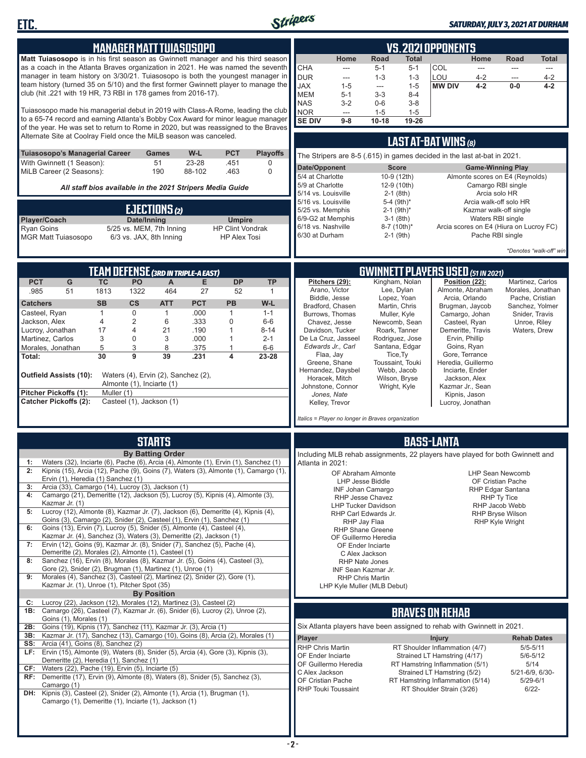

**ETC.**

#### *SATURDAY, JULY 3, 2021 AT DURHAM*

| <b>MANAGER MATT TUIASOSOPO</b>                                                                                                                                                                                                                                                                                                                                                                                                                                                                                                                                                                                                                                                                                                                                                                                                                                                                                                                                                                                                                                                                                                                                                                                              | <b>VS. 2021 OPPONENTS</b>                                                                                                                                                                                                                                                                                                                                                                                                                                                                                                                                                                                                                                                           |  |  |  |  |  |  |
|-----------------------------------------------------------------------------------------------------------------------------------------------------------------------------------------------------------------------------------------------------------------------------------------------------------------------------------------------------------------------------------------------------------------------------------------------------------------------------------------------------------------------------------------------------------------------------------------------------------------------------------------------------------------------------------------------------------------------------------------------------------------------------------------------------------------------------------------------------------------------------------------------------------------------------------------------------------------------------------------------------------------------------------------------------------------------------------------------------------------------------------------------------------------------------------------------------------------------------|-------------------------------------------------------------------------------------------------------------------------------------------------------------------------------------------------------------------------------------------------------------------------------------------------------------------------------------------------------------------------------------------------------------------------------------------------------------------------------------------------------------------------------------------------------------------------------------------------------------------------------------------------------------------------------------|--|--|--|--|--|--|
| Matt Tuiasosopo is in his first season as Gwinnett manager and his third season<br>as a coach in the Atlanta Braves organization in 2021. He was named the seventh<br>manager in team history on 3/30/21. Tuiasosopo is both the youngest manager in<br>team history (turned 35 on 5/10) and the first former Gwinnett player to manage the<br>club (hit .221 with 19 HR, 73 RBI in 178 games from 2016-17).                                                                                                                                                                                                                                                                                                                                                                                                                                                                                                                                                                                                                                                                                                                                                                                                                | Road<br>Home<br><b>Total</b><br>Home<br>Road<br><b>Total</b><br>CHA<br>$5 - 1$<br>$5 - 1$<br>COL<br>$\overline{a}$<br>$\frac{1}{2}$<br>$\frac{1}{2}$<br>$\cdots$<br><b>DUR</b><br>LOU<br>$4 - 2$<br>$1 - 3$<br>$1 - 3$<br>$4 - 2$<br>$\overline{a}$<br>$\overline{a}$<br><b>JAX</b><br><b>MW DIV</b><br>$1 - 5$<br>$4 - 2$<br>$4 - 2$<br>$1 - 5$<br>$0-0$<br>---<br><b>MEM</b><br>$5 - 1$<br>$3 - 3$<br>$8 - 4$                                                                                                                                                                                                                                                                     |  |  |  |  |  |  |
| Tuiasosopo made his managerial debut in 2019 with Class-A Rome, leading the club<br>to a 65-74 record and earning Atlanta's Bobby Cox Award for minor league manager<br>of the year. He was set to return to Rome in 2020, but was reassigned to the Braves<br>Alternate Site at Coolray Field once the MiLB season was canceled.                                                                                                                                                                                                                                                                                                                                                                                                                                                                                                                                                                                                                                                                                                                                                                                                                                                                                           | <b>NAS</b><br>$3 - 2$<br>$0-6$<br>$3 - 8$<br><b>NOR</b><br>$1 - 5$<br>$1 - 5$<br>$---$<br><b>SE DIV</b><br>19-26<br>$10 - 18$<br>$9-8$<br><b>LAST AT-BAT WINS (8)</b>                                                                                                                                                                                                                                                                                                                                                                                                                                                                                                               |  |  |  |  |  |  |
| Tuiasosopo's Managerial Career<br>W-L<br><b>PCT</b><br><b>Playoffs</b><br><b>Games</b><br>With Gwinnett (1 Season):<br>51<br>23-28<br>.451<br>0<br>MiLB Career (2 Seasons):<br>190<br>88-102<br>.463<br>$\mathbf 0$<br>All staff bios available in the 2021 Stripers Media Guide<br><b>EJECTIONS (2)</b><br>Player/Coach<br>Date/Inning<br><b>Umpire</b><br><b>HP Clint Vondrak</b><br><b>Ryan Goins</b><br>5/25 vs. MEM, 7th Inning<br><b>MGR Matt Tuiasosopo</b><br>6/3 vs. JAX, 8th Inning<br><b>HP Alex Tosi</b>                                                                                                                                                                                                                                                                                                                                                                                                                                                                                                                                                                                                                                                                                                        | The Stripers are 8-5 (.615) in games decided in the last at-bat in 2021.<br>Date/Opponent<br><b>Game-Winning Play</b><br><b>Score</b><br>5/4 at Charlotte<br>10-9 (12th)<br>Almonte scores on E4 (Reynolds)<br>5/9 at Charlotte<br>Camargo RBI single<br>12-9 (10th)<br>5/14 vs. Louisville<br>Arcia solo HR<br>$2-1$ (8th)<br>5-4 (9th)*<br>Arcia walk-off solo HR<br>5/16 vs. Louisville<br>5/25 vs. Memphis<br>$2-1$ (9th) <sup>*</sup><br>Kazmar walk-off single<br>6/9-G2 at Memphis<br>Waters RBI single<br>$3-1$ (8th)<br>6/18 vs. Nashville<br>Arcia scores on E4 (Hiura on Lucroy FC)<br>8-7 (10th)*<br>6/30 at Durham<br>$2-1$ (9th)<br>Pache RBI single                  |  |  |  |  |  |  |
|                                                                                                                                                                                                                                                                                                                                                                                                                                                                                                                                                                                                                                                                                                                                                                                                                                                                                                                                                                                                                                                                                                                                                                                                                             | *Denotes "walk-off" win                                                                                                                                                                                                                                                                                                                                                                                                                                                                                                                                                                                                                                                             |  |  |  |  |  |  |
| TEAM DEFENSE (3RD IN TRIPLE-A EAST)<br><b>PCT</b><br><b>DP</b><br><b>TP</b><br>G<br><b>TC</b><br>PO<br>A<br>Е<br>51<br>464<br>27<br>.985<br>1813<br>1322<br>52<br>$\mathbf{1}$<br>$\mathsf{cs}$<br><b>PCT</b><br>PB<br><b>SB</b><br><b>ATT</b><br>W-L<br><b>Catchers</b>                                                                                                                                                                                                                                                                                                                                                                                                                                                                                                                                                                                                                                                                                                                                                                                                                                                                                                                                                    | <b>GWINNETT PLAYERS USED (51 IN 2021)</b><br>Kingham, Nolan<br>Position (22):<br>Pitchers (29):<br>Martinez, Carlos<br>Arano, Victor<br>Lee, Dylan<br>Almonte, Abraham<br>Morales, Jonathan<br>Biddle, Jesse<br>Arcia, Orlando<br>Lopez, Yoan<br>Pache, Cristian<br>Bradford, Chasen<br>Martin, Chris<br>Brugman, Jaycob<br>Sanchez, Yolmer                                                                                                                                                                                                                                                                                                                                         |  |  |  |  |  |  |
| $\mathbf 0$<br>.000<br>$\mathbf{1}$<br>Casteel, Ryan<br>$\mathbf{1}$<br>$\mathbf{1}$<br>$1 - 1$<br>4<br>$\overline{2}$<br>6<br>.333<br>0<br>Jackson, Alex<br>$6-6$<br>17<br>21<br>.190<br>$\mathbf{1}$<br>$8 - 14$<br>Lucroy, Jonathan<br>4<br>3<br>3<br>$2 - 1$<br>Martinez, Carlos<br>0<br>.000<br>$\mathbf{1}$<br>5<br>8<br>3<br>$6-6$<br>Morales, Jonathan<br>.375<br>$\mathbf{1}$<br>30<br>9<br>39<br>.231<br>4<br>23-28<br>Total:<br><b>Outfield Assists (10):</b><br>Waters (4), Ervin (2), Sanchez (2),<br>Almonte (1), Inciarte (1)<br>Pitcher Pickoffs (1):<br>Muller (1)<br><b>Catcher Pickoffs (2):</b><br>Casteel (1), Jackson (1)                                                                                                                                                                                                                                                                                                                                                                                                                                                                                                                                                                             | Burrows, Thomas<br>Muller, Kyle<br>Camargo, Johan<br>Snider, Travis<br>Chavez, Jesse<br>Newcomb, Sean<br>Casteel, Ryan<br>Unroe, Riley<br>Roark, Tanner<br>Davidson, Tucker<br>Demeritte, Travis<br>Waters, Drew<br>De La Cruz, Jasseel<br>Rodriguez, Jose<br>Ervin, Phillip<br>Edwards Jr., Carl<br>Santana, Edgar<br>Goins, Ryan<br>Tice, Ty<br>Gore, Terrance<br>Flaa, Jay<br>Greene, Shane<br>Toussaint, Touki<br>Heredia, Guillermo<br>Hernandez, Daysbel<br>Webb, Jacob<br>Inciarte, Ender<br>Horacek, Mitch<br>Wilson, Bryse<br>Jackson, Alex<br>Johnstone, Connor<br>Wright, Kyle<br>Kazmar Jr., Sean<br>Jones, Nate<br>Kipnis, Jason<br>Kelley, Trevor<br>Lucroy, Jonathan |  |  |  |  |  |  |
| <b>STARTS</b>                                                                                                                                                                                                                                                                                                                                                                                                                                                                                                                                                                                                                                                                                                                                                                                                                                                                                                                                                                                                                                                                                                                                                                                                               | Italics = Player no longer in Braves organization<br><b>BASS-LANTA</b>                                                                                                                                                                                                                                                                                                                                                                                                                                                                                                                                                                                                              |  |  |  |  |  |  |
| <b>By Batting Order</b><br>Waters (32), Inciarte (6), Pache (6), Arcia (4), Almonte (1), Ervin (1), Sanchez (1)<br>1:<br>2:<br>Kipnis (15), Arcia (12), Pache (9), Goins (7), Waters (3), Almonte (1), Camargo (1),  <br>Ervin (1), Heredia (1) Sanchez (1)<br>Arcia (33), Camargo (14), Lucroy (3), Jackson (1)<br>3:<br>Camargo (21), Demeritte (12), Jackson (5), Lucroy (5), Kipnis (4), Almonte (3),<br>4:<br>Kazmar Jr. (1)<br>Lucroy (12), Almonte (8), Kazmar Jr. (7), Jackson (6), Demeritte (4), Kipnis (4),<br>5:<br>Goins (3), Camargo (2), Snider (2), Casteel (1), Ervin (1), Sanchez (1)<br>Goins (13), Ervin (7), Lucroy (5), Snider (5), Almonte (4), Casteel (4),<br>6:<br>Kazmar Jr. (4), Sanchez (3), Waters (3), Demeritte (2), Jackson (1)<br>Ervin (12), Goins (9), Kazmar Jr. (8), Snider (7), Sanchez (5), Pache (4),<br>7:<br>Demeritte (2), Morales (2), Almonte (1), Casteel (1)<br>Sanchez (16), Ervin (8), Morales (8), Kazmar Jr. (5), Goins (4), Casteel (3),<br>8:<br>Gore (2), Snider (2), Brugman (1), Martinez (1), Unroe (1)<br>9:<br>Morales (4), Sanchez (3), Casteel (2), Martinez (2), Snider (2), Gore (1),<br>Kazmar Jr. (1), Unroe (1), Pitcher Spot (35)<br><b>By Position</b> | Including MLB rehab assignments, 22 players have played for both Gwinnett and<br>Atlanta in 2021:<br>OF Abraham Almonte<br><b>LHP Sean Newcomb</b><br><b>LHP Jesse Biddle</b><br>OF Cristian Pache<br><b>INF Johan Camargo</b><br>RHP Edgar Santana<br>RHP Jesse Chavez<br>RHP Ty Tice<br><b>LHP Tucker Davidson</b><br>RHP Jacob Webb<br>RHP Carl Edwards Jr.<br><b>RHP Bryse Wilson</b><br>RHP Jay Flaa<br><b>RHP Kyle Wright</b><br><b>RHP Shane Greene</b><br>OF Guillermo Heredia<br>OF Ender Inciarte<br>C Alex Jackson<br><b>RHP Nate Jones</b><br>INF Sean Kazmar Jr.<br><b>RHP Chris Martin</b><br>LHP Kyle Muller (MLB Debut)                                             |  |  |  |  |  |  |
| Lucroy (22), Jackson (12), Morales (12), Martinez (3), Casteel (2)<br>C:<br>1B: Camargo (26), Casteel (7), Kazmar Jr. (6), Snider (6), Lucroy (2), Unroe (2),<br>Goins (1), Morales (1)<br>Goins (19), Kipnis (17), Sanchez (11), Kazmar Jr. (3), Arcia (1)<br>2B:                                                                                                                                                                                                                                                                                                                                                                                                                                                                                                                                                                                                                                                                                                                                                                                                                                                                                                                                                          | <b>BRAVES ON REHAB</b><br>Six Atlanta players have been assigned to rehab with Gwinnett in 2021.                                                                                                                                                                                                                                                                                                                                                                                                                                                                                                                                                                                    |  |  |  |  |  |  |
| Kazmar Jr. (17), Sanchez (13), Camargo (10), Goins (8), Arcia (2), Morales (1)<br>3B:<br><b>SS:</b> Arcia (41), Goins (8), Sanchez (2)<br><b>LF:</b> Ervin (15), Almonte (9), Waters (8), Snider (5), Arcia (4), Gore (3), Kipnis (3),<br>Demeritte (2), Heredia (1), Sanchez (1)<br>CF: Waters (22), Pache (19), Ervin (5), Inciarte (5)<br>RF: Demeritte (17), Ervin (9), Almonte (8), Waters (8), Snider (5), Sanchez (3),<br>Camargo (1)<br>DH: Kipnis (3), Casteel (2), Snider (2), Almonte (1), Arcia (1), Brugman (1),<br>Camargo (1), Demeritte (1), Inciarte (1), Jackson (1)                                                                                                                                                                                                                                                                                                                                                                                                                                                                                                                                                                                                                                      | Player<br><b>Injury</b><br><b>Rehab Dates</b><br>RHP Chris Martin<br>RT Shoulder Inflammation (4/7)<br>$5/5 - 5/11$<br>OF Ender Inciarte<br>Strained LT Hamstring (4/17)<br>$5/6 - 5/12$<br>OF Guillermo Heredia<br>RT Hamstring Inflammation (5/1)<br>5/14<br>C Alex Jackson<br>Strained LT Hamstring (5/2)<br>5/21-6/9, 6/30-<br>OF Cristian Pache<br>RT Hamstring Inflammation (5/14)<br>$5/29 - 6/1$<br>RHP Touki Toussaint<br>RT Shoulder Strain (3/26)<br>$6/22 -$                                                                                                                                                                                                            |  |  |  |  |  |  |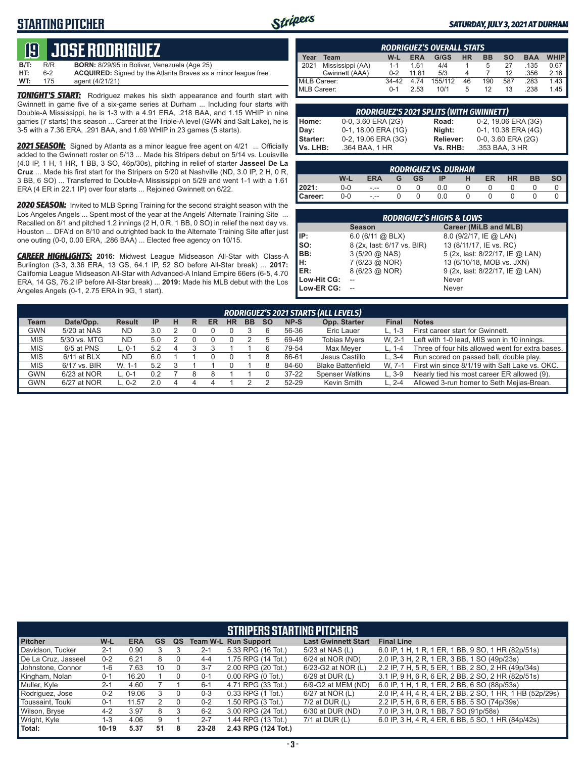#### **STARTING PITCHER**



#### *SATURDAY, JULY 3, 2021 AT DURHAM*

# **19****JOSE RODRIGUEZ**

**B/T:** R/R **BORN:** 8/29/95 in Bolivar, Venezuela (Age 25)<br>**HT:** 6-2 **ACQUIRED:** Signed by the Atlanta Braves as 6-2 **ACQUIRED:** Signed by the Atlanta Braves as a minor league free<br>175 agent (4/21/21) **WT:** 175 agent (4/21/21)

*TONIGHT'S START:* Rodriguez makes his sixth appearance and fourth start with Gwinnett in game five of a six-game series at Durham ... Including four starts with Double-A Mississippi, he is 1-3 with a 4.91 ERA, .218 BAA, and 1.15 WHIP in nine games (7 starts) this season ... Career at the Triple-A level (GWN and Salt Lake), he is 3-5 with a 7.36 ERA, .291 BAA, and 1.69 WHIP in 23 games (5 starts).

*2021 SEASON:* Signed by Atlanta as a minor league free agent on 4/21 ... Officially added to the Gwinnett roster on 5/13 ... Made his Stripers debut on 5/14 vs. Louisville (4.0 IP, 1 H, 1 HR, 1 BB, 3 SO, 46p/30s), pitching in relief of starter **Jasseel De La Cruz** ... Made his first start for the Stripers on 5/20 at Nashville (ND, 3.0 IP, 2 H, 0 R, 3 BB, 6 SO) ... Transferred to Double-A Mississippi on 5/29 and went 1-1 with a 1.61 ERA (4 ER in 22.1 IP) over four starts ... Rejoined Gwinnett on 6/22.

*2020 SEASON:* Invited to MLB Spring Training for the second straight season with the Los Angeles Angels ... Spent most of the year at the Angels' Alternate Training Site ... Recalled on 8/1 and pitched 1.2 innings (2 H, 0 R, 1 BB, 0 SO) in relief the next day vs. Houston ... DFA'd on 8/10 and outrighted back to the Alternate Training Site after just one outing (0-0, 0.00 ERA, .286 BAA) ... Elected free agency on 10/15.

*CAREER HIGHLIGHTS:* **2016:** Midwest League Midseason All-Star with Class-A Burlington (3-3, 3.36 ERA, 13 GS, 64.1 IP, 52 SO before All-Star break) ... **2017:** California League Midseason All-Star with Advanced-A Inland Empire 66ers (6-5, 4.70 ERA, 14 GS, 76.2 IP before All-Star break) ... **2019:** Made his MLB debut with the Los Angeles Angels (0-1, 2.75 ERA in 9G, 1 start).

|              | <b>RODRIGUEZ'S OVERALL STATS</b> |         |            |         |           |           |           |            |             |  |  |  |  |  |
|--------------|----------------------------------|---------|------------|---------|-----------|-----------|-----------|------------|-------------|--|--|--|--|--|
| Year         | Team                             | W-L     | <b>ERA</b> | G/GS    | <b>HR</b> | <b>BB</b> | <b>SO</b> | <b>BAA</b> | <b>WHIP</b> |  |  |  |  |  |
| 12021        | Mississippi (AA)                 | $1 - 1$ | 1.61       | 4/4     |           | 5         | 27        | .135       | 0.67        |  |  |  |  |  |
|              | Gwinnett (AAA)                   | $0 - 2$ | 11.81      | 5/3     | Δ         |           | 12        | .356       | 2.16        |  |  |  |  |  |
| MiLB Career: |                                  | 34-42   | 4.74       | 155/112 | 46        | 190       | 587       | .283       | 1.43        |  |  |  |  |  |
| MLB Career:  |                                  | $0 - 1$ | 2.53       | 10/1    | 5         | 12        | 13        | .238       | 1.45        |  |  |  |  |  |

| <b>RODRIGUEZ'S 2021 SPLITS (WITH GWINNETT)</b> |                     |           |                         |  |  |  |  |  |  |  |  |
|------------------------------------------------|---------------------|-----------|-------------------------|--|--|--|--|--|--|--|--|
| Home:                                          | 0-0, 3.60 ERA (2G)  | Road:     | 0-2, 19.06 ERA (3G)     |  |  |  |  |  |  |  |  |
| Day:                                           | 0-1, 18.00 ERA (1G) | Night:    | 0-1, 10.38 ERA (4G)     |  |  |  |  |  |  |  |  |
| Starter:                                       | 0-2, 19.06 ERA (3G) | Reliever: | $0-0$ , 3.60 ERA $(2G)$ |  |  |  |  |  |  |  |  |
| l Vs. LHB:                                     | .364 BAA, 1 HR      | Vs. RHB:  | .353 BAA, 3 HR          |  |  |  |  |  |  |  |  |

| <b>RODRIGUEZ VS. DURHAM</b> |       |            |   |           |     |   |           |           |           |    |  |  |  |
|-----------------------------|-------|------------|---|-----------|-----|---|-----------|-----------|-----------|----|--|--|--|
|                             | W-L   | <b>ERA</b> | G | <b>GS</b> | ΙP  | н | <b>ER</b> | <b>HR</b> | <b>BB</b> | SO |  |  |  |
| 2021:                       | $0-0$ | $ -$       |   |           | 0.0 |   |           |           |           |    |  |  |  |
| l Career:                   | $0-0$ | $- - -$    |   |           | 0.0 |   |           |           |           |    |  |  |  |

|             | <b>RODRIGUEZ'S HIGHS &amp; LOWS</b> |                                 |  |  |  |  |  |  |  |  |  |  |
|-------------|-------------------------------------|---------------------------------|--|--|--|--|--|--|--|--|--|--|
|             | <b>Season</b>                       | Career (MiLB and MLB)           |  |  |  |  |  |  |  |  |  |  |
| IP:         | $6.0$ (6/11 @ BLX)                  | 8.0 (9/2/17, IE @ LAN)          |  |  |  |  |  |  |  |  |  |  |
| SO:         | 8 (2x, last: 6/17 vs. BIR)          | 13 (8/11/17, IE vs. RC)         |  |  |  |  |  |  |  |  |  |  |
| BB:         | $3(5/20 \omega NAS)$                | 5 (2x, last: 8/22/17, IE @ LAN) |  |  |  |  |  |  |  |  |  |  |
| Iн:         | 7 (6/23 @ NOR)                      | 13 (6/10/18, MOB vs. JXN)       |  |  |  |  |  |  |  |  |  |  |
| IER:        | 8 (6/23 @ NOR)                      | 9 (2x, last: 8/22/17, IE @ LAN) |  |  |  |  |  |  |  |  |  |  |
| Low-Hit CG: |                                     | Never                           |  |  |  |  |  |  |  |  |  |  |
| Low-ER CG:  |                                     | Never                           |  |  |  |  |  |  |  |  |  |  |

|            | RODRIGUEZ'S 2021 STARTS (ALL LEVELS) |               |           |  |   |    |           |           |           |           |                          |            |                                                  |
|------------|--------------------------------------|---------------|-----------|--|---|----|-----------|-----------|-----------|-----------|--------------------------|------------|--------------------------------------------------|
| Team       | Date/Opp.                            | <b>Result</b> | <b>IP</b> |  | R | ER | <b>HR</b> | <b>BB</b> | <b>SO</b> | NP-S      | Opp. Starter             | Final      | <b>Notes</b>                                     |
| <b>GWN</b> | 5/20 at NAS                          | ND            | 3.0       |  |   |    |           |           |           | 56-36     | Eric Lauer               | L. 1-3     | First career start for Gwinnett.                 |
| <b>MIS</b> | 5/30 vs. MTG                         | ND            | 5.0       |  |   |    |           |           |           | 69-49     | <b>Tobias Mvers</b>      | W. 2-1     | Left with 1-0 lead, MIS won in 10 innings.       |
| <b>MIS</b> | 6/5 at PNS                           | L. 0-1        | 5.2       |  |   |    |           |           |           | 79-54     | Max Mever                |            | Three of four hits allowed went for extra bases. |
| <b>MIS</b> | 6/11 at BLX                          | <b>ND</b>     | 6.0       |  |   |    |           |           |           | 86-61     | Jesus Castillo           | $L.3 - 4$  | Run scored on passed ball, double play.          |
| <b>MIS</b> | 6/17 vs. BIR                         | W. 1-1        | 5.2       |  |   |    |           |           |           | 84-60     | <b>Blake Battenfield</b> | W. 7-1     | First win since 8/1/19 with Salt Lake vs. OKC.   |
| <b>GWN</b> | 6/23 at NOR                          | L. 0-1        |           |  |   |    |           |           |           | $37 - 22$ | <b>Spenser Watkins</b>   | $L.3-9$    | Nearly tied his most career ER allowed (9).      |
| GWN        | 6/27 at NOR                          | L. 0-2        |           |  |   |    |           |           |           | 52-29     | Kevin Smith              | $L. 2 - 4$ | Allowed 3-run homer to Seth Mejias-Brean.        |
|            |                                      |               |           |  |   |    |           |           |           |           |                          |            |                                                  |

|                     | <b>STRIPERS STARTING PITCHERS</b> |            |           |    |         |                             |                            |                                                          |  |  |  |  |  |
|---------------------|-----------------------------------|------------|-----------|----|---------|-----------------------------|----------------------------|----------------------------------------------------------|--|--|--|--|--|
| <b>Pitcher</b>      | W-L                               | <b>ERA</b> | <b>GS</b> | QS |         | <b>Team W-L Run Support</b> | <b>Last Gwinnett Start</b> | <b>Final Line</b>                                        |  |  |  |  |  |
| Davidson, Tucker    | $2 - 1$                           | 0.90       |           |    | $2 - 1$ | 5.33 RPG (16 Tot.)          | 5/23 at NAS (L)            | 6.0 IP, 1 H, 1 R, 1 ER, 1 BB, 9 SO, 1 HR (82p/51s)       |  |  |  |  |  |
| De La Cruz, Jasseel | $0 - 2$                           | 6.21       | 8         |    | $4 - 4$ | 1.75 RPG (14 Tot.)          | 6/24 at NOR (ND)           | 2.0 IP, 3 H, 2 R, 1 ER, 3 BB, 1 SO (49p/23s)             |  |  |  |  |  |
| Johnstone, Connor   | $1-6$                             | 7.63       | 10        |    | $3 - 7$ | 2.00 RPG (20 Tot.)          | 6/23-G2 at NOR (L)         | 2.2 IP, 7 H, 5 R, 5 ER, 1 BB, 2 SO, 2 HR (49p/34s)       |  |  |  |  |  |
| Kingham, Nolan      | $0 - 1$                           | 16.20      |           |    | $0 - 1$ | $0.00$ RPG $(0$ Tot.)       | 6/29 at DUR (L)            | 3.1 IP, 9 H, 6 R, 6 ER, 2 BB, 2 SO, 2 HR (82p/51s)       |  |  |  |  |  |
| Muller, Kyle        | $2 - 1$                           | 4.60       |           |    | $6 - 1$ | 4.71 RPG (33 Tot.)          | 6/9-G2 at MEM (ND)         | 6.0 IP, 1 H, 1 R, 1 ER, 2 BB, 6 SO (88p/53s)             |  |  |  |  |  |
| Rodriguez, Jose     | $0 - 2$                           | 19.06      |           |    | $0 - 3$ | 0.33 RPG (1 Tot.)           | 6/27 at NOR (L)            | 2.0 IP, 4 H, 4 R, 4 ER, 2 BB, 2 SO, 1 HR, 1 HB (52p/29s) |  |  |  |  |  |
| Toussaint, Touki    | $0 - 1$                           | 11.57      |           |    | $0 - 2$ | 1.50 RPG (3 Tot.)           | $7/2$ at DUR (L)           | 2.2 IP, 5 H, 6 R, 6 ER, 5 BB, 5 SO (74p/39s)             |  |  |  |  |  |
| Wilson, Bryse       | $4 - 2$                           | 3.97       | 8         |    | $6 - 2$ | 3.00 RPG (24 Tot.)          | 6/30 at DUR (ND)           | 7.0 IP, 3 H, 0 R, 1 BB, 7 SO (91p/58s)                   |  |  |  |  |  |
| Wright, Kyle        | $1 - 3$                           | 4.06       | 9         |    | $2 - 7$ | 1.44 RPG (13 Tot.)          | $7/1$ at DUR $(L)$         | 6.0 IP, 3 H, 4 R, 4 ER, 6 BB, 5 SO, 1 HR (84p/42s)       |  |  |  |  |  |
| Total:              | $10-19$                           | 5.37       | 51        | 8  | 23-28   | 2.43 RPG (124 Tot.)         |                            |                                                          |  |  |  |  |  |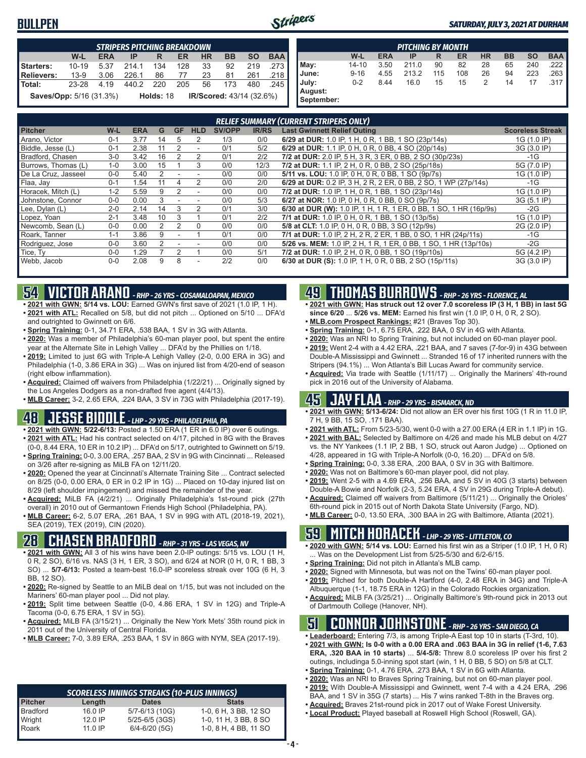#### **BULLPEN**



|                         | <b>STRIPERS PITCHING BREAKDOWN</b> |            |       |           |     |           |                                 |           |            |  |  |  |  |
|-------------------------|------------------------------------|------------|-------|-----------|-----|-----------|---------------------------------|-----------|------------|--|--|--|--|
|                         | W-L                                | <b>ERA</b> | IP    | R         | ER  | <b>HR</b> | <b>BB</b>                       | <b>SO</b> | <b>BAA</b> |  |  |  |  |
| Starters:               | $10 - 19$                          | 5.37       | 214.1 | 134       | 128 | 33        | 92                              | 219       | .273       |  |  |  |  |
| <b>Relievers:</b>       | $13-9$                             | 3.06       | 226.1 | 86        | 77  | 23        | 81                              | 261       | .218       |  |  |  |  |
| Total:                  | 23-28                              | 4.19       | 440.2 | 220       | 205 | 56        | 173                             | 480       | .245       |  |  |  |  |
| Saves/Opp: 5/16 (31.3%) |                                    |            |       | Holds: 18 |     |           | <b>IR/Scored: 43/14 (32.6%)</b> |           |            |  |  |  |  |

|            | <b>PITCHING BY MONTH</b> |            |       |     |     |           |    |           |            |  |  |  |  |
|------------|--------------------------|------------|-------|-----|-----|-----------|----|-----------|------------|--|--|--|--|
|            | W-L                      | <b>ERA</b> | IP    | R   | ER  | <b>HR</b> | BB | <b>SO</b> | <b>BAA</b> |  |  |  |  |
| May:       | $14 - 10$                | 3.50       | 211.0 | 90  | 82  | 28        | 65 | 240       | .222       |  |  |  |  |
| June:      | $9 - 16$                 | 4.55       | 213.2 | 115 | 108 | 26        | 94 | 223       | .263       |  |  |  |  |
| July:      | $0 - 2$                  | 8.44       | 16.0  | 15  | 15  | 2         | 14 | 17        | .317       |  |  |  |  |
| August:    |                          |            |       |     |     |           |    |           |            |  |  |  |  |
| September: |                          |            |       |     |     |           |    |           |            |  |  |  |  |

|                     | <b>RELIEF SUMMARY (CURRENT STRIPERS ONLY)</b> |            |    |               |            |               |              |                                                                    |                         |  |  |  |  |
|---------------------|-----------------------------------------------|------------|----|---------------|------------|---------------|--------------|--------------------------------------------------------------------|-------------------------|--|--|--|--|
| <b>Pitcher</b>      | W-L                                           | <b>ERA</b> | G  | <b>GF</b>     | <b>HLD</b> | <b>SV/OPP</b> | <b>IR/RS</b> | <b>Last Gwinnett Relief Outing</b>                                 | <b>Scoreless Streak</b> |  |  |  |  |
| Arano, Victor       | $0 - 1$                                       | 3.77       | 14 | 5             | 2          | 1/3           | 0/0          | 6/29 at DUR: 1.0 IP, 1 H, 0 R, 1 BB, 1 SO (23p/14s)                | 1G (1.0 IP)             |  |  |  |  |
| Biddle, Jesse (L)   | $0 - 1$                                       | 2.38       |    |               | ٠          | 0/1           | 5/2          | 6/29 at DUR: 1.1 IP, 0 H, 0 R, 0 BB, 4 SO (20p/14s)                | 3G (3.0 IP)             |  |  |  |  |
| Bradford, Chasen    | $3-0$                                         | 3.42       | 16 |               | 2          | 0/1           | 2/2          | 7/2 at DUR: 2.0 IP, 5 H, 3 R, 3 ER, 0 BB, 2 SO (30p/23s)           | $-1G$                   |  |  |  |  |
| Burrows, Thomas (L) | $1-0$                                         | 3.00       | 15 |               | 3          | 0/0           | 12/3         | 7/2 at DUR: 1.1 IP, 2 H, 0 R, 0 BB, 2 SO (25p/18s)                 | 5G (7.0 IP)             |  |  |  |  |
| De La Cruz, Jasseel | $0 - 0$                                       | 5.40       |    |               |            | 0/0           | 0/0          | 5/11 vs. LOU: 1.0 IP, 0 H, 0 R, 0 BB, 1 SO (9p/7s)                 | 1G (1.0 IP)             |  |  |  |  |
| Flaa, Jay           | $0 - 1$                                       | 1.54       |    |               |            | 0/0           | 2/0          | 6/29 at DUR: 0.2 IP, 3 H, 2 R, 2 ER, 0 BB, 2 SO, 1 WP (27p/14s)    | -1G                     |  |  |  |  |
| Horacek, Mitch (L)  | $1 - 2$                                       | 5.59       | 9  |               |            | 0/0           | 0/0          | 7/2 at DUR: 1.0 IP, 1 H, 0 R, 1 BB, 1 SO (23p/14s)                 | 1G (1.0 IP)             |  |  |  |  |
| Johnstone, Connor   | $0 - 0$                                       | 0.00       | 3  |               |            | 0/0           | 5/3          | 6/27 at NOR: 1.0 IP, 0 H, 0 R, 0 BB, 0 SO (9p/7s)                  | 3G (5.1 IP)             |  |  |  |  |
| Lee, Dylan (L)      | $2 - 0$                                       | 2.14       | 14 | 3             |            | 0/1           | 3/0          | 6/30 at DUR (W): 1.0 IP, 1 H, 1 R, 1 ER, 0 BB, 1 SO, 1 HR (16p/9s) | $-2G$                   |  |  |  |  |
| Lopez, Yoan         | $2 - 1$                                       | 3.48       | 10 | 3             |            | 0/1           | 2/2          | 7/1 at DUR: 1.0 IP, 0 H, 0 R, 1 BB, 1 SO (13p/5s)                  | 1G (1.0 IP)             |  |  |  |  |
| Newcomb, Sean (L)   | $0 - 0$                                       | 0.00       | 2  | $\mathcal{P}$ | $\Omega$   | 0/0           | 0/0          | 5/8 at CLT: 1.0 IP, 0 H, 0 R, 0 BB, 3 SO (12p/9s)                  | 2G (2.0 IP)             |  |  |  |  |
| Roark, Tanner       | $1 - 1$                                       | 3.86       | 9  |               |            | 0/1           | 0/0          | 7/1 at DUR: 1.0 IP, 2 H, 2 R, 2 ER, 1 BB, 0 SO, 1 HR (24p/11s)     | $-1G$                   |  |  |  |  |
| Rodriguez, Jose     | $0 - 0$                                       | 3.60       |    |               |            | 0/0           | 0/0          | 5/26 vs. MEM: 1.0 IP, 2 H, 1 R, 1 ER, 0 BB, 1 SO, 1 HR (13p/10s)   | $-2G$                   |  |  |  |  |
| Tice, Ty            | $0 - 0$                                       | 1.29       |    |               |            | 0/0           | 5/1          | 7/2 at DUR: 1.0 IP, 2 H, 0 R, 0 BB, 1 SO (19p/10s)                 | 5G (4.2 IP)             |  |  |  |  |
| Webb, Jacob         | $0 - 0$                                       | 2.08       | 9  | 8             |            | 2/2           | 0/0          | 6/30 at DUR (S): 1.0 IP, 1 H, 0 R, 0 BB, 2 SO (15p/11s)            | 3G (3.0 IP)             |  |  |  |  |

# **54 VICTOR ARANO** *- RHP - 26 YRS - COSAMALOAPAN, MEXICO*

- **• 2021 with GWN: 5/14 vs. LOU:** Earned GWN's first save of 2021 (1.0 IP, 1 H).
- **• 2021 with ATL:** Recalled on 5/8, but did not pitch ... Optioned on 5/10 ... DFA'd and outrighted to Gwinnett on 6/6.
- **• Spring Training:** 0-1, 34.71 ERA, .538 BAA, 1 SV in 3G with Atlanta.
- **• 2020:** Was a member of Philadelphia's 60-man player pool, but spent the entire year at the Alternate Site in Lehigh Valley ... DFA'd by the Phillies on 1/18.
- **• 2019:** Limited to just 6G with Triple-A Lehigh Valley (2-0, 0.00 ERA in 3G) and Philadelphia (1-0, 3.86 ERA in 3G) ... Was on injured list from 4/20-end of season (right elbow inflammation).
- **• Acquired:** Claimed off waivers from Philadelphia (1/22/21) ... Originally signed by the Los Angeles Dodgers as a non-drafted free agent (4/4/13).
- **• MLB Career:** 3-2, 2.65 ERA, .224 BAA, 3 SV in 73G with Philadelphia (2017-19).

### **48 JESSE BIDDLE** *- LHP - 29 YRS - PHILADELPHIA, PA*

- **• 2021 with GWN: 5/22-6/13:** Posted a 1.50 ERA (1 ER in 6.0 IP) over 6 outings.
- **• 2021 with ATL:** Had his contract selected on 4/17, pitched in 8G with the Braves (0-0, 8.44 ERA, 10 ER in 10.2 IP) ... DFA'd on 5/17, outrighted to Gwinnett on 5/19.
- **• Spring Training:** 0-0, 3.00 ERA, .257 BAA, 2 SV in 9G with Cincinnati ... Released on 3/26 after re-signing as MiLB FA on 12/11/20.
- **• 2020:** Opened the year at Cincinnati's Alternate Training Site ... Contract selected on 8/25 (0-0, 0.00 ERA, 0 ER in 0.2 IP in 1G) ... Placed on 10-day injured list on 8/29 (left shoulder impingement) and missed the remainder of the year.
- **• Acquired:** MiLB FA (4/2/21) ... Originally Philadelphia's 1st-round pick (27th overall) in 2010 out of Germantown Friends High School (Philadelphia, PA).
- **• MLB Career:** 6-2, 5.07 ERA, .261 BAA, 1 SV in 99G with ATL (2018-19, 2021), SEA (2019), TEX (2019), CIN (2020).

#### **28 CHASEN BRADFORD** *- RHP - 31 YRS - LAS VEGAS, NV*

- **• 2021 with GWN:** All 3 of his wins have been 2.0-IP outings: 5/15 vs. LOU (1 H, 0 R, 2 SO), 6/16 vs. NAS (3 H, 1 ER, 3 SO), and 6/24 at NOR (0 H, 0 R, 1 BB, 3 SO) ... **5/7-6/13:** Posted a team-best 16.0-IP scoreless streak over 10G (6 H, 3 BB, 12 SO).
- **• 2020:** Re-signed by Seattle to an MiLB deal on 1/15, but was not included on the Mariners' 60-man player pool ... Did not play.
- **• 2019:** Split time between Seattle (0-0, 4.86 ERA, 1 SV in 12G) and Triple-A Tacoma (0-0, 6.75 ERA, 1 SV in 5G).
- **• Acquired:** MiLB FA (3/15/21) ... Originally the New York Mets' 35th round pick in 2011 out of the University of Central Florida.
- **• MLB Career:** 7-0, 3.89 ERA, .253 BAA, 1 SV in 86G with NYM, SEA (2017-19).

#### *SCORELESS INNINGS STREAKS (10-PLUS INNINGS)*

| Lenath  | <b>Dates</b>       | <b>Stats</b>          |
|---------|--------------------|-----------------------|
| 16.0 IP | 5/7-6/13 (10G)     | 1-0, 6 H, 3 BB, 12 SO |
| 12.0 IP | $5/25 - 6/5$ (3GS) | 1-0, 11 H, 3 BB, 8 SO |
| 11.0 IP | $6/4 - 6/20$ (5G)  | 1-0, 8 H, 4 BB, 11 SO |
|         |                    |                       |

#### **49 THOMAS BURROWS** *- RHP - 26 YRS - FLORENCE, AL*

- **• 2021 with GWN: Has struck out 12 over 7.0 scoreless IP (3 H, 1 BB) in last 5G since 6/20** ... **5/26 vs. MEM:** Earned his first win (1.0 IP, 0 H, 0 R, 2 SO).
- **• MLB.com Prospect Rankings:** #21 (Braves Top 30).
- **• Spring Training:** 0-1, 6.75 ERA, .222 BAA, 0 SV in 4G with Atlanta.
- **• 2020:** Was an NRI to Spring Training, but not included on 60-man player pool.
- **• 2019:** Went 2-4 with a 4.42 ERA, .221 BAA, and 7 saves (7-for-9) in 43G between Double-A Mississippi and Gwinnett ... Stranded 16 of 17 inherited runners with the Stripers (94.1%) ... Won Atlanta's Bill Lucas Award for community service.
- **• Acquired:** Via trade with Seattle (1/11/17) ... Originally the Mariners' 4th-round pick in 2016 out of the University of Alabama.

### **45 JAY FLAA** *- RHP - 29 YRS - BISMARCK, ND*

- **• 2021 with GWN: 5/13-6/24:** Did not allow an ER over his first 10G (1 R in 11.0 IP, 7 H, 9 BB, 15 SO, .171 BAA).
- **• 2021 with ATL:** From 5/23-5/30, went 0-0 with a 27.00 ERA (4 ER in 1.1 IP) in 1G.
- **• 2021 with BAL:** Selected by Baltimore on 4/26 and made his MLB debut on 4/27 vs. the NY Yankees (1.1 IP, 2 BB, 1 SO, struck out Aaron Judge) ... Optioned on 4/28, appeared in 1G with Triple-A Norfolk (0-0, 16.20) ... DFA'd on 5/8.
- **• Spring Training:** 0-0, 3.38 ERA, .200 BAA, 0 SV in 3G with Baltimore.
- **• 2020:** Was not on Baltimore's 60-man player pool, did not play.
- **• 2019:** Went 2-5 with a 4.69 ERA, .256 BAA, and 5 SV in 40G (3 starts) between Double-A Bowie and Norfolk (2-3, 5.24 ERA, 4 SV in 29G during Triple-A debut).
- **• Acquired:** Claimed off waivers from Baltimore (5/11/21) ... Originally the Orioles' 6th-round pick in 2015 out of North Dakota State University (Fargo, ND).
- **• MLB Career:** 0-0, 13.50 ERA, .300 BAA in 2G with Baltimore, Atlanta (2021).

# **59 MITCH HORACEK** *- LHP - 29 YRS - LITTLETON, CO*

- **• 2020 with GWN: 5/14 vs. LOU:** Earned his first win as a Striper (1.0 IP, 1 H, 0 R) . Was on the Development List from 5/25-5/30 and 6/2-6/15.
- **• Spring Training:** Did not pitch in Atlanta's MLB camp.
- **• 2020:** Signed with Minnesota, but was not on the Twins' 60-man player pool.
- **• 2019:** Pitched for both Double-A Hartford (4-0, 2.48 ERA in 34G) and Triple-A Albuquerque (1-1, 18.75 ERA in 12G) in the Colorado Rockies organization.
- **• Acquired:** MiLB FA (3/25/21) ... Originally Baltimore's 9th-round pick in 2013 out of Dartmouth College (Hanover, NH).

### **51 CONNOR JOHNSTONE** *- RHP - 26 YRS - SAN DIEGO, CA*

- **• Leaderboard:** Entering 7/3, is among Triple-A East top 10 in starts (T-3rd, 10).
- **• 2021 with GWN: Is 0-0 with a 0.00 ERA and .063 BAA in 3G in relief (1-6, 7.63 ERA, .320 BAA in 10 starts)** ... **5/4-5/8:** Threw 8.0 scoreless IP over his first 2 outings, includinga 5.0-inning spot start (win, 1 H, 0 BB, 5 SO) on 5/8 at CLT.
- **• Spring Training:** 0-1, 4.76 ERA, .273 BAA, 1 SV in 6G with Atlanta.
- **• 2020:** Was an NRI to Braves Spring Training, but not on 60-man player pool.
- **• 2019:** With Double-A Mississippi and Gwinnett, went 7-4 with a 4.24 ERA, .296
- BAA, and 1 SV in 35G (7 starts) ... His 7 wins ranked T-8th in the Braves org.
- **• Acquired:** Braves 21st-round pick in 2017 out of Wake Forest University.
- **• Local Product:** Played baseball at Roswell High School (Roswell, GA).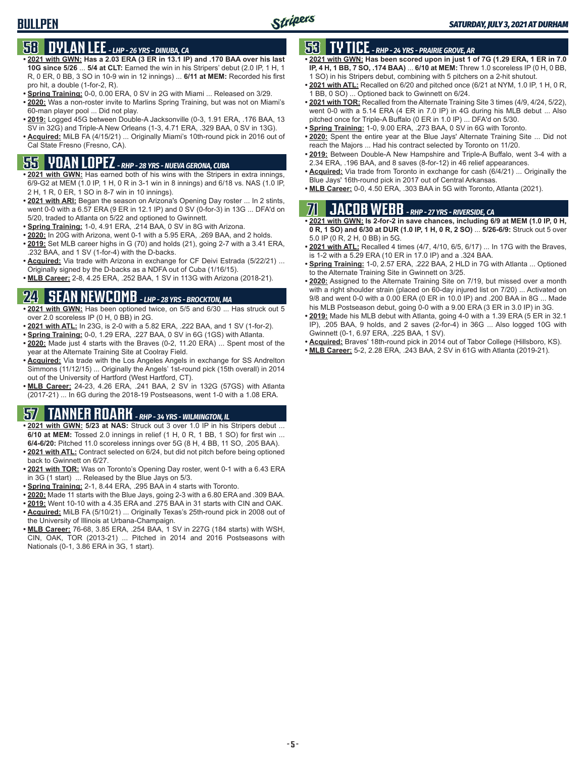# **58 DYLAN LEE** *- LHP - 26 YRS - DINUBA, CA*

- **• 2021 with GWN: Has a 2.03 ERA (3 ER in 13.1 IP) and .170 BAA over his last 10G since 5/26** ... **5/4 at CLT:** Earned the win in his Stripers' debut (2.0 IP, 1 H, 1 R, 0 ER, 0 BB, 3 SO in 10-9 win in 12 innings) ... **6/11 at MEM:** Recorded his first pro hit, a double (1-for-2, R).
- **• Spring Training:** 0-0, 0.00 ERA, 0 SV in 2G with Miami ... Released on 3/29.
- **• 2020:** Was a non-roster invite to Marlins Spring Training, but was not on Miami's 60-man player pool ... Did not play.
- **• 2019:** Logged 45G between Double-A Jacksonville (0-3, 1.91 ERA, .176 BAA, 13 SV in 32G) and Triple-A New Orleans (1-3, 4.71 ERA, .329 BAA, 0 SV in 13G).
- **• Acquired:** MiLB FA (4/15/21) ... Originally Miami's 10th-round pick in 2016 out of Cal State Fresno (Fresno, CA).

# **55 YOAN LOPEZ** *- RHP - 28 YRS - NUEVA GERONA, CUBA*

- **• 2021 with GWN:** Has earned both of his wins with the Stripers in extra innings, 6/9-G2 at MEM (1.0 IP, 1 H, 0 R in 3-1 win in 8 innings) and 6/18 vs. NAS (1.0 IP, 2 H, 1 R, 0 ER, 1 SO in 8-7 win in 10 innings).
- **• 2021 with ARI:** Began the season on Arizona's Opening Day roster ... In 2 stints, went 0-0 with a 6.57 ERA (9 ER in 12.1 IP) and 0 SV (0-for-3) in 13G ... DFA'd on 5/20, traded to Atlanta on 5/22 and optioned to Gwinnett.
- **• Spring Training:** 1-0, 4.91 ERA, .214 BAA, 0 SV in 8G with Arizona.
- **• 2020:** In 20G with Arizona, went 0-1 with a 5.95 ERA, .269 BAA, and 2 holds.
- **• 2019:** Set MLB career highs in G (70) and holds (21), going 2-7 with a 3.41 ERA, .232 BAA, and 1 SV (1-for-4) with the D-backs.
- **• Acquired:** Via trade with Arizona in exchange for CF Deivi Estrada (5/22/21) ... Originally signed by the D-backs as a NDFA out of Cuba (1/16/15).
- **• MLB Career:** 2-8, 4.25 ERA, .252 BAA, 1 SV in 113G with Arizona (2018-21).

### **24 SEAN NEWCOMB** *- LHP - 28 YRS - BROCKTON, MA*

- **• 2021 with GWN:** Has been optioned twice, on 5/5 and 6/30 ... Has struck out 5 over 2.0 scoreless IP (0 H, 0 BB) in 2G.
- **• 2021 with ATL:** In 23G, is 2-0 with a 5.82 ERA, .222 BAA, and 1 SV (1-for-2).
- **• Spring Training:** 0-0, 1.29 ERA, .227 BAA, 0 SV in 6G (1GS) with Atlanta.
- **• 2020:** Made just 4 starts with the Braves (0-2, 11.20 ERA) ... Spent most of the year at the Alternate Training Site at Coolray Field.
- **• Acquired:** Via trade with the Los Angeles Angels in exchange for SS Andrelton Simmons (11/12/15) ... Originally the Angels' 1st-round pick (15th overall) in 2014 out of the University of Hartford (West Hartford, CT).
- **• MLB Career:** 24-23, 4.26 ERA, .241 BAA, 2 SV in 132G (57GS) with Atlanta (2017-21) ... In 6G during the 2018-19 Postseasons, went 1-0 with a 1.08 ERA.

#### **57 TANNER ROARK** *- RHP - 34 YRS - WILMINGTON, IL*

- **• 2021 with GWN: 5/23 at NAS:** Struck out 3 over 1.0 IP in his Stripers debut ... **6/10 at MEM:** Tossed 2.0 innings in relief (1 H, 0 R, 1 BB, 1 SO) for first win ... **6/4-6/20:** Pitched 11.0 scoreless innings over 5G (8 H, 4 BB, 11 SO, .205 BAA).
- **• 2021 with ATL:** Contract selected on 6/24, but did not pitch before being optioned back to Gwinnett on 6/27.
- **• 2021 with TOR:** Was on Toronto's Opening Day roster, went 0-1 with a 6.43 ERA in 3G (1 start) ... Released by the Blue Jays on 5/3.
- **• Spring Training:** 2-1, 8.44 ERA, .295 BAA in 4 starts with Toronto.
- **• 2020:** Made 11 starts with the Blue Jays, going 2-3 with a 6.80 ERA and .309 BAA.
- **• 2019:** Went 10-10 with a 4.35 ERA and .275 BAA in 31 starts with CIN and OAK. **• Acquired:** MiLB FA (5/10/21) ... Originally Texas's 25th-round pick in 2008 out of
- the University of Illinois at Urbana-Champaign. **• MLB Career:** 76-68, 3.85 ERA, .254 BAA, 1 SV in 227G (184 starts) with WSH, CIN, OAK, TOR (2013-21) ... Pitched in 2014 and 2016 Postseasons with Nationals (0-1, 3.86 ERA in 3G, 1 start).

# **53 TY TICE** *- RHP - 24 YRS - PRAIRIE GROVE, AR*

- **• 2021 with GWN: Has been scored upon in just 1 of 7G (1.29 ERA, 1 ER in 7.0 IP, 4 H, 1 BB, 7 SO, .174 BAA)** ... **6/10 at MEM:** Threw 1.0 scoreless IP (0 H, 0 BB, 1 SO) in his Stripers debut, combining with 5 pitchers on a 2-hit shutout.
- **• 2021 with ATL:** Recalled on 6/20 and pitched once (6/21 at NYM, 1.0 IP, 1 H, 0 R, 1 BB, 0 SO) ... Optioned back to Gwinnett on 6/24.
- **• 2021 with TOR:** Recalled from the Alternate Training Site 3 times (4/9, 4/24, 5/22), went 0-0 with a 5.14 ERA (4 ER in 7.0 IP) in 4G during his MLB debut ... Also pitched once for Triple-A Buffalo (0 ER in 1.0 IP) ... DFA'd on 5/30.
- **• Spring Training:** 1-0, 9.00 ERA, .273 BAA, 0 SV in 6G with Toronto.
- **• 2020:** Spent the entire year at the Blue Jays' Alternate Training Site ... Did not reach the Majors ... Had his contract selected by Toronto on 11/20.
- **• 2019:** Between Double-A New Hampshire and Triple-A Buffalo, went 3-4 with a 2.34 ERA, .196 BAA, and 8 saves (8-for-12) in 46 relief appearances.
- **• Acquired:** Via trade from Toronto in exchange for cash (6/4/21) ... Originally the Blue Jays' 16th-round pick in 2017 out of Central Arkansas.
- **• MLB Career:** 0-0, 4.50 ERA, .303 BAA in 5G with Toronto, Atlanta (2021).

### **71 JACOB WEBB** *- RHP - 27 YRS - RIVERSIDE, CA*

- **• 2021 with GWN: Is 2-for-2 in save chances, including 6/9 at MEM (1.0 IP, 0 H, 0 R, 1 SO) and 6/30 at DUR (1.0 IP, 1 H, 0 R, 2 SO)** ... **5/26-6/9:** Struck out 5 over 5.0 IP (0 R, 2 H, 0 BB) in 5G.
- **• 2021 with ATL:** Recalled 4 times (4/7, 4/10, 6/5, 6/17) ... In 17G with the Braves, is 1-2 with a 5.29 ERA (10 ER in 17.0 IP) and a .324 BAA.
- **• Spring Training:** 1-0, 2.57 ERA, .222 BAA, 2 HLD in 7G with Atlanta ... Optioned to the Alternate Training Site in Gwinnett on 3/25.
- **• 2020:** Assigned to the Alternate Training Site on 7/19, but missed over a month with a right shoulder strain (placed on 60-day injured list on 7/20) ... Activated on 9/8 and went 0-0 with a 0.00 ERA (0 ER in 10.0 IP) and .200 BAA in 8G ... Made his MLB Postseason debut, going 0-0 with a 9.00 ERA (3 ER in 3.0 IP) in 3G.
- **• 2019:** Made his MLB debut with Atlanta, going 4-0 with a 1.39 ERA (5 ER in 32.1 IP), .205 BAA, 9 holds, and 2 saves (2-for-4) in 36G ... Also logged 10G with Gwinnett (0-1, 6.97 ERA, .225 BAA, 1 SV).
- **• Acquired:** Braves' 18th-round pick in 2014 out of Tabor College (Hillsboro, KS).
- **• MLB Career:** 5-2, 2.28 ERA, .243 BAA, 2 SV in 61G with Atlanta (2019-21).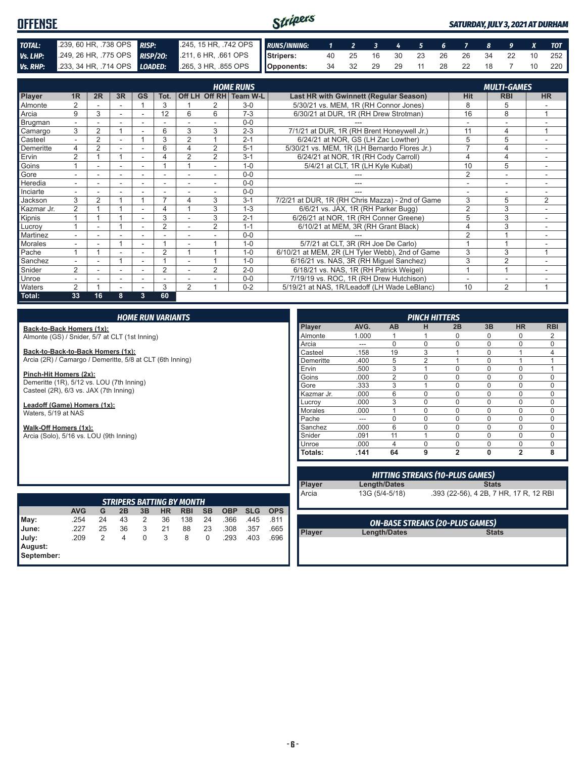#### Stripers **OFFENSE** *SATURDAY, JULY 3, 2021 AT DURHAM TOTAL:* .239, 60 HR, .738 OPS *RISP:* .245, 15 HR, .742 OPS *RUNS/INNING: 1 2 3 4 5 6 7 8 9 X TOT Vs. LHP:* .249, 26 HR, .775 OPS *RISP/2O:* .211, 6 HR, .661 OPS **Stripers:** 40 25 16 30 23 26 26 34 22 10 252 **Opponents:** 34 32 29 29 11 28 22 18 7 10 220 *Vs. RHP:* .233, 34 HR, .714 OPS *LOADED:* .265, 3 HR, .855 OPS

|                |                          |                |                          |                          |                          |                |                | <b>HOME RUNS</b>       |                                                  |                | <b>MULTI-GAMES</b>       |                |
|----------------|--------------------------|----------------|--------------------------|--------------------------|--------------------------|----------------|----------------|------------------------|--------------------------------------------------|----------------|--------------------------|----------------|
| <b>Player</b>  | 1R                       | 2R             | 3R                       | <b>GS</b>                | Tot.                     |                |                | Off LH Off RH Team W-L | Last HR with Gwinnett (Regular Season)           | <b>Hit</b>     | <b>RBI</b>               | <b>HR</b>      |
| Almonte        | $\overline{2}$           |                |                          |                          | 3                        |                |                | $3-0$                  | 5/30/21 vs. MEM, 1R (RH Connor Jones)            | 8              | 5                        |                |
| Arcia          | 9                        | 3              |                          |                          | 12                       | 6              | 6              | $7 - 3$                | 6/30/21 at DUR, 1R (RH Drew Strotman)            | 16             | 8                        | $\overline{A}$ |
| <b>Brugman</b> | $\overline{\phantom{0}}$ |                |                          |                          |                          |                |                | $0 - 0$                |                                                  |                |                          |                |
| Camargo        | 3                        | $\overline{2}$ |                          |                          | 6                        | 3              | 3              | $2 - 3$                | 7/1/21 at DUR, 1R (RH Brent Honeywell Jr.)       | 11             | 4                        | 1              |
| Casteel        |                          | 2              |                          |                          | 3                        | 2              |                | $2 - 1$                | 6/24/21 at NOR. GS (LH Zac Lowther)              | 5              | 5                        |                |
| Demeritte      | 4                        | $\overline{2}$ |                          |                          | 6                        | 4              | $\overline{2}$ | $5 - 1$                | 5/30/21 vs. MEM, 1R (LH Bernardo Flores Jr.)     |                | 4                        |                |
| Ervin          | $\overline{2}$           |                |                          |                          | 4                        | $\overline{2}$ | $\overline{2}$ | $3 - 1$                | 6/24/21 at NOR, 1R (RH Cody Carroll)             | 4              | 4                        | ٠              |
| Goins          |                          | ۰              | $\overline{\phantom{a}}$ | $\overline{\phantom{a}}$ |                          |                | ٠              | $1 - 0$                | 5/4/21 at CLT, 1R (LH Kyle Kubat)                | 10             | 5                        | ۰              |
| Gore           |                          |                |                          |                          |                          |                |                | $0 - 0$                |                                                  | 2              | $\overline{\phantom{a}}$ |                |
| Heredia        |                          |                |                          |                          |                          |                |                | $0 - 0$                |                                                  |                |                          |                |
| Inciarte       |                          |                |                          |                          |                          |                |                | $0 - 0$                |                                                  |                |                          |                |
| Jackson        | 3                        | $\overline{2}$ |                          |                          | $\overline{\phantom{a}}$ | 4              | 3              | $3 - 1$                | 7/2/21 at DUR, 1R (RH Chris Mazza) - 2nd of Game | 3              | 5                        | 2              |
| Kazmar Jr.     | 2                        |                |                          |                          | 4                        |                | 3              | $1 - 3$                | 6/6/21 vs. JAX, 1R (RH Parker Bugg)              | $\overline{2}$ | 3                        |                |
| Kipnis         |                          |                |                          |                          | 3                        |                | 3              | $2 - 1$                | 6/26/21 at NOR, 1R (RH Conner Greene)            | 5              | 3                        |                |
| Lucroy         |                          |                |                          |                          | $\overline{2}$           |                | $\overline{2}$ | $1 - 1$                | 6/10/21 at MEM, 3R (RH Grant Black)              | 4              | 3                        | $\sim$         |
| Martinez       | ۰.                       | ۰              |                          | $\overline{\phantom{a}}$ |                          |                |                | $0 - 0$                |                                                  | $\mathfrak{p}$ |                          |                |
| <b>Morales</b> |                          | ۰              |                          | $\overline{\phantom{a}}$ |                          |                |                | $1 - 0$                | 5/7/21 at CLT, 3R (RH Joe De Carlo)              |                |                          |                |
| Pache          |                          |                |                          |                          | $\overline{2}$           |                |                | $1 - 0$                | 6/10/21 at MEM, 2R (LH Tyler Webb), 2nd of Game  | 3              | 3                        |                |
| Sanchez        |                          |                |                          |                          |                          |                |                | $1 - 0$                | 6/16/21 vs. NAS, 3R (RH Miguel Sanchez)          | 3              | $\overline{2}$           |                |
| Snider         | 2                        |                |                          |                          | $\overline{2}$           |                | $\overline{2}$ | $2 - 0$                | 6/18/21 vs. NAS, 1R (RH Patrick Weigel)          |                |                          |                |
| Unroe          |                          | ۰              | $\overline{\phantom{a}}$ | $\overline{\phantom{a}}$ | ٠                        |                |                | $0 - 0$                | 7/19/19 vs. ROC, 1R (RH Drew Hutchison)          |                | ۰                        |                |
| Waters         | $\overline{2}$           |                |                          |                          | 3                        | $\overline{2}$ |                | $0 - 2$                | 5/19/21 at NAS, 1R/Leadoff (LH Wade LeBlanc)     | 10             | $\overline{2}$           | 4              |
| Total:         | 33                       | 16             | 8                        | 3                        | 60                       |                |                |                        |                                                  |                |                          |                |

#### *HOME RUN VARIANTS*

**Back-to-Back Homers (1x):** Almonte (GS) / Snider, 5/7 at CLT (1st Inning)

**Back-to-Back-to-Back Homers (1x):** Arcia (2R) / Camargo / Demeritte, 5/8 at CLT (6th Inning)

**Pinch-Hit Homers (2x):**

Demeritte (1R), 5/12 vs. LOU (7th Inning) Casteel (2R), 6/3 vs. JAX (7th Inning)

**Leadoff (Game) Homers (1x):** Waters, 5/19 at NAS

**Walk-Off Homers (1x):**

Arcia (Solo), 5/16 vs. LOU (9th Inning)

| <b>PINCH HITTERS</b> |       |                |                |                |          |                |            |
|----------------------|-------|----------------|----------------|----------------|----------|----------------|------------|
| Player               | AVG.  | AB             | н              | 2B             | 3B       | <b>HR</b>      | <b>RBI</b> |
| Almonte              | 1.000 |                |                | 0              | O        | 0              | 2          |
| Arcia                | ---   | $\Omega$       | 0              | 0              | $\Omega$ | 0              | $\Omega$   |
| Casteel              | .158  | 19             | 3              | 4              | $\Omega$ | 1              | 4          |
| Demeritte            | .400  | 5              | $\overline{2}$ |                | $\Omega$ | 1              |            |
| Ervin                | .500  | 3              | 1              | $\Omega$       | $\Omega$ | 0              |            |
| Goins                | .000  | $\overline{2}$ | $\Omega$       | $\Omega$       | $\Omega$ | $\Omega$       | $\Omega$   |
| Gore                 | .333  | 3              | 1              | $\Omega$       | $\Omega$ | $\Omega$       | 0          |
| Kazmar Jr.           | .000  | 6              | $\Omega$       | $\Omega$       | $\Omega$ | 0              | $\Omega$   |
| Lucrov               | .000  | 3              | $\Omega$       | $\Omega$       | $\Omega$ | $\Omega$       | $\Omega$   |
| Morales              | .000  |                | 0              | $\Omega$       | $\Omega$ | 0              | $\Omega$   |
| Pache                | ---   | $\Omega$       | 0              | $\Omega$       | $\Omega$ | 0              | 0          |
| Sanchez              | .000  | 6              | 0              | 0              | $\Omega$ | 0              | 0          |
| Snider               | .091  | 11             | 1              | $\mathbf 0$    | $\Omega$ | 0              | $\Omega$   |
| Unroe                | .000  | 4              | $\Omega$       | $\Omega$       | $\Omega$ | 0              | $\Omega$   |
| Totals:              | .141  | 64             | 9              | $\overline{2}$ | $\bf{0}$ | $\overline{2}$ | 8          |

| <b>STRIPERS BATTING BY MONTH</b> |            |    |    |    |    |            |           |            |            |            |
|----------------------------------|------------|----|----|----|----|------------|-----------|------------|------------|------------|
|                                  | <b>AVG</b> | G  | 2B | 3B | HR | <b>RBI</b> | <b>SB</b> | <b>OBP</b> | <b>SLG</b> | <b>OPS</b> |
| May:<br>June:                    | .254       | 24 | 43 | 2  | 36 | 138        | 24        | .366       | .445       | .811       |
|                                  | .227       | 25 | 36 | 3  | 21 | 88         | 23        | .308       | .357       | .665       |
|                                  | .209       | 2  | 4  | 0  | 3  | 8          | 0         | .293       | .403       | .696       |
| July:<br>August:<br>September:   |            |    |    |    |    |            |           |            |            |            |
|                                  |            |    |    |    |    |            |           |            |            |            |

| <b>HITTING STREAKS (10-PLUS GAMES)</b> |                                        |  |  |  |
|----------------------------------------|----------------------------------------|--|--|--|
| Length/Dates                           | <b>Stats</b>                           |  |  |  |
| 13G (5/4-5/18)                         | .393 (22-56), 4 2B, 7 HR, 17 R, 12 RBI |  |  |  |

|        | <b>ON-BASE STREAKS (20-PLUS GAMES)</b> |              |
|--------|----------------------------------------|--------------|
| Player | Length/Dates                           | <b>Stats</b> |
|        |                                        |              |

**Player**<br>**Arcia**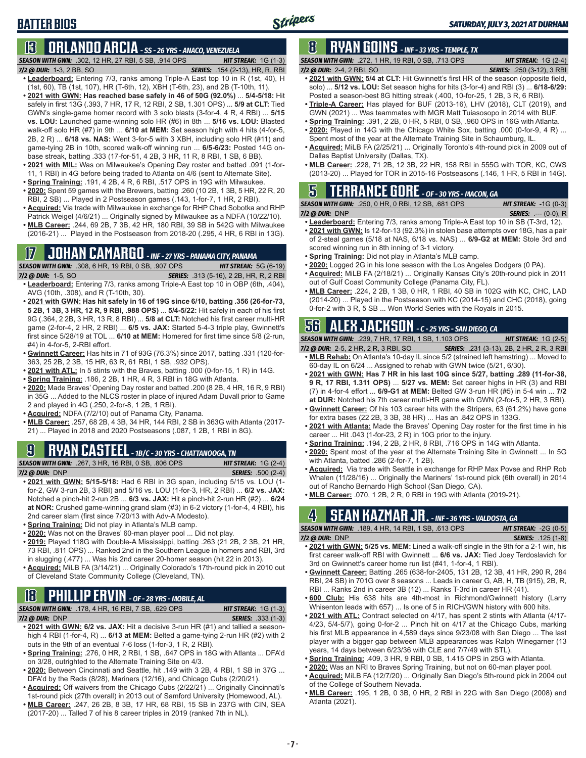### **BATTER BIOS**

# **13 ORLANDO ARCIA** *- SS - 26 YRS - ANACO, VENEZUELA*

*SEASON WITH GWN:*.302, 12 HR, 27 RBI, 5 SB, .914 OPS *HIT STREAK:* 1G (1-3) *7/2 @ DUR:*1-3, 2 BB, SO *SERIES:* .154 (2-13), HR, R, RBI

- **• Leaderboard:** Entering 7/3, ranks among Triple-A East top 10 in R (1st, 40), H (1st, 60), TB (1st, 107), HR (T-6th, 12), XBH (T-6th, 23), and 2B (T-10th, 11).
- **• 2021 with GWN: Has reached base safely in 46 of 50G (92.0%)** ... **5/4-5/18:** Hit safely in first 13G (.393, 7 HR, 17 R, 12 RBI, 2 SB, 1.301 OPS) ... **5/9 at CLT:** Tied GWN's single-game homer record with 3 solo blasts (3-for-4, 4 R, 4 RBI) ... **5/15 vs. LOU:** Launched game-winning solo HR (#6) in 8th ... **5/16 vs. LOU:** Blasted walk-off solo HR (#7) in 9th ... **6/10 at MEM:** Set season high with 4 hits (4-for-5, 2B, 2 R) ... **6/18 vs. NAS:** Went 3-for-5 with 3 XBH, including solo HR (#11) and game-tying 2B in 10th, scored walk-off winning run ... **6/5-6/23:** Posted 14G onbase streak, batting .333 (17-for-51, 4 2B, 3 HR, 11 R, 8 RBI, 1 SB, 6 BB).
- **• 2021 with MIL:** Was on Milwaukee's Opening Day roster and batted .091 (1-for-11, 1 RBI) in 4G before being traded to Atlanta on 4/6 (sent to Alternate Site).
- **• Spring Training:** .191, 4 2B, 4 R, 6 RBI, .517 OPS in 19G with Milwaukee.
- **• 2020:** Spent 59 games with the Brewers, batting .260 (10 2B, 1 3B, 5 HR, 22 R, 20 RBI, 2 SB) ... Played in 2 Postseason games (.143, 1-for-7, 1 HR, 2 RBI).
- **• Acquired:** Via trade with Milwaukee in exchange for RHP Chad Sobotka and RHP Patrick Weigel (4/6/21) ... Originally signed by Milwaukee as a NDFA (10/22/10).
- **• MLB Career:** .244, 69 2B, 7 3B, 42 HR, 180 RBI, 39 SB in 542G with Milwaukee (2016-21) ... Played in the Postseason from 2018-20 (.295, 4 HR, 6 RBI in 13G).

# **17 JOHAN CAMARGO** *- INF - 27 YRS - PANAMA CITY, PANAMA*

*SEASON WITH GWN:*.308, 6 HR, 19 RBI, 0 SB, .907 OPS *HIT STREAK:* 5G (6-19) *7/2 @ DUR:* 1-5, SO *SERIES:* .313 (5-16), 2 2B, HR, R, 2 RBI

- **• Leaderboard:** Entering 7/3, ranks among Triple-A East top 10 in OBP (6th, .404), AVG (10th, .308), and R (T-10th, 30).
- **• 2021 with GWN: Has hit safely in 16 of 19G since 6/10, batting .356 (26-for-73, 5 2B, 1 3B, 3 HR, 12 R, 9 RBI, .988 OPS)** ... **5/4-5/22:** Hit safely in each of his first 9G (.364, 2 2B, 3 HR, 13 R, 8 RBI) ... **5/8 at CLT:** Notched his first career multi-HR game (2-for-4, 2 HR, 2 RBI) ... **6/5 vs. JAX:** Started 5-4-3 triple play, Gwinnett's first since 5/28/19 at TOL ... **6/10 at MEM:** Homered for first time since 5/8 (2-run, #4) in 4-for-5, 2-RBI effort.
- **• Gwinnett Career:** Has hits in 71 of 93G (76.3%) since 2017, batting .331 (120-for-363, 25 2B, 2 3B, 15 HR, 63 R, 61 RBI, 1 SB, .932 OPS).
- **• 2021 with ATL:** In 5 stints with the Braves, batting .000 (0-for-15, 1 R) in 14G.
- **• Spring Training:** .186, 2 2B, 1 HR, 4 R, 3 RBI in 18G with Atlanta.
- **• 2020:** Made Braves' Opening Day roster and batted .200 (8 2B, 4 HR, 16 R, 9 RBI) in 35G ... Added to the NLCS roster in place of injured Adam Duvall prior to Game 2 and played in 4G (.250, 2-for-8, 1 2B, 1 RBI).
- **• Acquired:** NDFA (7/2/10) out of Panama City, Panama.
- **• MLB Career:** .257, 68 2B, 4 3B, 34 HR, 144 RBI, 2 SB in 363G with Atlanta (2017- 21) ... Played in 2018 and 2020 Postseasons (.087, 1 2B, 1 RBI in 8G).

### **9 RYAN CASTEEL** *- 1B/C - 30 YRS - CHATTANOOGA, TN*

*SEASON WITH GWN:*.267, 3 HR, 16 RBI, 0 SB, .806 OPS *HIT STREAK:* 1G (2-4) *7/2 @ DUR:*DNP *SERIES:* .500 (2-4)

- **• 2021 with GWN: 5/15-5/18:** Had 6 RBI in 3G span, including 5/15 vs. LOU (1 for-2, GW 3-run 2B, 3 RBI) and 5/16 vs. LOU (1-for-3, HR, 2 RBI) ... **6/2 vs. JAX:** Notched a pinch-hit 2-run 2B ... **6/3 vs. JAX:** Hit a pinch-hit 2-run HR (#2) ... **6/24 at NOR:** Crushed game-winning grand slam (#3) in 6-2 victory (1-for-4, 4 RBI), his 2nd career slam (first since 7/20/13 with Adv-A Modesto).
- **• Spring Training:** Did not play in Atlanta's MLB camp.
- **• 2020:** Was not on the Braves' 60-man player pool ... Did not play.
- **• 2019:** Played 118G with Double-A Mississippi, batting .263 (21 2B, 2 3B, 21 HR, 73 RBI, .811 OPS) ... Ranked 2nd in the Southern League in homers and RBI, 3rd in slugging (.477) ... Was his 2nd career 20-homer season (hit 22 in 2013).

**• Acquired:** MiLB FA (3/14/21) ... Originally Colorado's 17th-round pick in 2010 out of Cleveland State Community College (Cleveland, TN).

### **18 PHILLIP ERVIN** *- OF - 28 YRS - MOBILE, AL*

*SEASON WITH GWN:*.178, 4 HR, 16 RBI, 7 SB, .629 OPS *HIT STREAK:* 1G (1-3) *7/2 @ DUR:*DNP *SERIES:* .333 (1-3)

- **• 2021 with GWN: 6/2 vs. JAX:** Hit a decisive 3-run HR (#1) and tallied a seasonhigh 4 RBI (1-for-4, R) ... **6/13 at MEM:** Belted a game-tying 2-run HR (#2) with 2 outs in the 9th of an eventual 7-6 loss (1-for-3, 1 R, 2 RBI).
- **• Spring Training:** .276, 0 HR, 2 RBI, 1 SB, .647 OPS in 18G with Atlanta ... DFA'd on 3/28, outrighted to the Alternate Training Site on 4/3.
- **• 2020:** Between Cincinnati and Seattle, hit .149 with 3 2B, 4 RBI, 1 SB in 37G ... DFA'd by the Reds (8/28), Mariners (12/16), and Chicago Cubs (2/20/21).
- **• Acquired:** Off waivers from the Chicago Cubs (2/22/21) ... Originally Cincinnati's 1st-round pick (27th overall) in 2013 out of Samford University (Homewood, AL).
- **• MLB Career:** .247, 26 2B, 8 3B, 17 HR, 68 RBI, 15 SB in 237G with CIN, SEA (2017-20) ... Talled 7 of his 8 career triples in 2019 (ranked 7th in NL).

# **8 RYAN GOINS** *- INF - 33 YRS - TEMPLE, TX*

*SEASON WITH GWN:*.272, 1 HR, 19 RBI, 0 SB, .713 OPS *HIT STREAK:* 1G (2-4)

*7/2 @ DUR:*2-4, 2 RBI, SO *SERIES:* .250 (3-12), 3 RBI

- **• 2021 with GWN: 5/4 at CLT:** Hit Gwinnett's first HR of the season (opposite field, solo) ... **5/12 vs. LOU:** Set season highs for hits (3-for-4) and RBI (3) ... **6/18-6/29:** Posted a season-best 8G hitting streak (.400, 10-for-25, 1 2B, 3 R, 6 RBI).
- **• Triple-A Career:** Has played for BUF (2013-16), LHV (2018), CLT (2019), and GWN (2021) ... Was teammates with MGR Matt Tuiasosopo in 2014 with BUF.
- **• Spring Training:** .391, 2 2B, 0 HR, 5 RBI, 0 SB, .960 OPS in 16G with Atlanta.
- **• 2020:** Played in 14G with the Chicago White Sox, batting .000 (0-for-9, 4 R) ... Spent most of the year at the Alternate Training Site in Schaumburg, IL.
- **• Acquired:** MiLB FA (2/25/21) ... Originally Toronto's 4th-round pick in 2009 out of Dallas Baptist University (Dallas, TX).
- **• MLB Career:** .228, 71 2B, 12 3B, 22 HR, 158 RBI in 555G with TOR, KC, CWS (2013-20) ... Played for TOR in 2015-16 Postseasons (.146, 1 HR, 5 RBI in 14G).

#### **5 TERRANCE GORE** *- OF - 30 YRS - MACON, GA*

| <b>SEASON WITH GWN:</b> .250, 0 HR, 0 RBI, 12 SB, .681 OPS | <b>HIT STREAK:</b> $-1G(0-3)$  |
|------------------------------------------------------------|--------------------------------|
| 7/2 @ DUR: DNP                                             | <b>SERIES:</b> $--- (0-0)$ , R |

- **• Leaderboard:** Entering 7/3, ranks among Triple-A East top 10 in SB (T-3rd, 12).
- **• 2021 with GWN:** Is 12-for-13 (92.3%) in stolen base attempts over 18G, has a pair of 2-steal games (5/18 at NAS, 6/18 vs. NAS) ... **6/9-G2 at MEM:** Stole 3rd and scored winning run in 8th inning of 3-1 victory.
- **• Spring Training:** Did not play in Atlanta's MLB camp.
- **• 2020:** Logged 2G in his lone season with the Los Angeles Dodgers (0 PA).
- **• Acquired:** MiLB FA (2/18/21) ... Originally Kansas City's 20th-round pick in 2011 out of Gulf Coast Community College (Panama City, FL).
- **• MLB Career:** .224, 2 2B, 1 3B, 0 HR, 1 RBI, 40 SB in 102G with KC, CHC, LAD (2014-20) ... Played in the Postseason with KC (2014-15) and CHC (2018), going 0-for-2 with 3 R, 5 SB ... Won World Series with the Royals in 2015.

#### **56 ALEX JACKSON** *- C - 25 YRS - SAN DIEGO, CA*

*SEASON WITH GWN:*.239, 7 HR, 17 RBI, 1 SB, 1.103 OPS *HIT STREAK:* 1G (2-5)

- *7/2 @ DUR:*2-5, 2 HR, 2 R, 3 RBI, SO *SERIES:* .231 (3-13), 2B, 2 HR, 2 R, 3 RBI **• MLB Rehab:** On Atlanta's 10-day IL since 5/2 (strained left hamstring) ... Moved to
- 60-day IL on 6/24 ... Assigned to rehab with GWN twice (5/21, 6/30). **• 2021 with GWN: Has 7 HR in his last 10G since 5/27, batting .289 (11-for-38, 9 R, 17 RBI, 1.311 OPS)** ... **5/27 vs. MEM:** Set career highs in HR (3) and RBI
- (7) in 4-for-4 effort ... **6/9-G1 at MEM:** Belted GW 3-run HR (#5) in 5-4 win ... **7/2 at DUR:** Notched his 7th career multi-HR game with GWN (2-for-5, 2 HR, 3 RBI).
- **• Gwinnett Career:** Of his 103 career hits with the Stripers, 63 (61.2%) have gone for extra bases (22 2B, 3 3B, 38 HR) ... Has an .842 OPS in 133G.
- **• 2021 with Atlanta:** Made the Braves' Opening Day roster for the first time in his career ... Hit .043 (1-for-23, 2 R) in 10G prior to the injury.
- **• Spring Training:** .194, 2 2B, 2 HR, 8 RBI, .716 OPS in 14G with Atlanta.
- **• 2020:** Spent most of the year at the Alternate Training Site in Gwinnett ... In 5G with Atlanta, batted .286 (2-for-7, 1 2B).
- **• Acquired:** Via trade with Seattle in exchange for RHP Max Povse and RHP Rob Whalen (11/28/16) ... Originally the Mariners' 1st-round pick (6th overall) in 2014 out of Rancho Bernardo High School (San Diego, CA).
- **• MLB Career:** .070, 1 2B, 2 R, 0 RBI in 19G with Atlanta (2019-21).

# **4 SEAN KAZMAR JR.** *- INF - 36 YRS - VALDOSTA, GA*

*SEASON WITH GWN:*.189, 4 HR, 14 RBI, 1 SB, .613 OPS *HIT STREAK:* -2G (0-5) *7/2 @ DUR:*DNP *SERIES:* .125 (1-8)

- **• 2021 with GWN: 5/25 vs. MEM:** Lined a walk-off single in the 9th for a 2-1 win, his first career walk-off RBI with Gwinnett ... **6/6 vs. JAX:** Tied Joey Terdoslavich for 3rd on Gwinnett's career home run list (#41, 1-for-4, 1 RBI).
- **• Gwinnett Career:** Batting .265 (638-for-2405, 131 2B, 12 3B, 41 HR, 290 R, 284 RBI, 24 SB) in 701G over 8 seasons ... Leads in career G, AB, H, TB (915), 2B, R, RBI ... Ranks 2nd in career 3B (12) ... Ranks T-3rd in career HR (41).
- **• 600 Club:** His 638 hits are 4th-most in Richmond/Gwinnett history (Larry Whisenton leads with 657) ... Is one of 5 in RICH/GWN history with 600 hits.
- **• 2021 with ATL:** Contract selected on 4/17, has spent 2 stints with Atlanta (4/17- 4/23, 5/4-5/7), going 0-for-2 ... Pinch hit on 4/17 at the Chicago Cubs, marking his first MLB appearance in 4,589 days since 9/23/08 with San Diego ... The last player with a bigger gap between MLB appearances was Ralph Winegarner (13 years, 14 days between 6/23/36 with CLE and 7/7/49 with STL).
- **• Spring Training:** .409, 3 HR, 9 RBI, 0 SB, 1.415 OPS in 25G with Atlanta.
- **• 2020:** Was an NRI to Braves Spring Training, but not on 60-man player pool.
- **• Acquired:** MiLB FA (12/7/20) ... Originally San Diego's 5th-round pick in 2004 out of the College of Southern Nevada.
- **• MLB Career:** .195, 1 2B, 0 3B, 0 HR, 2 RBI in 22G with San Diego (2008) and Atlanta (2021).

- 
- 
-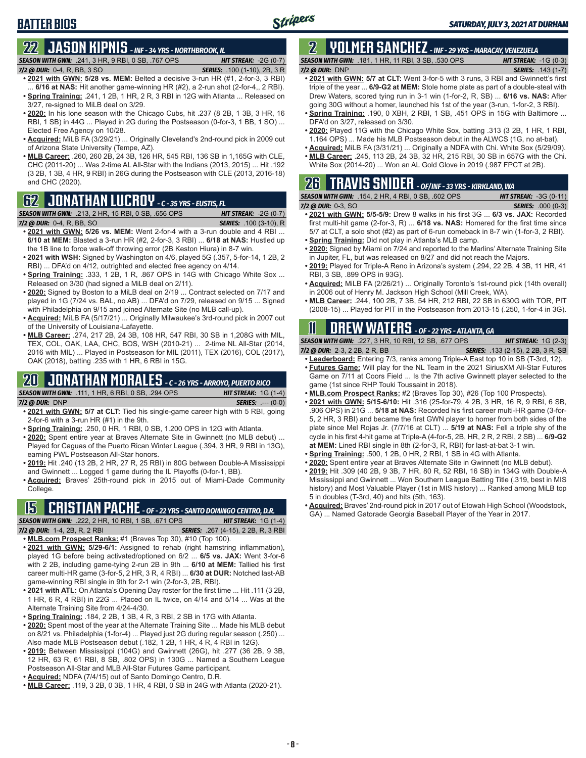# **22 JASON KIPNIS** *- INF - 34 YRS - NORTHBROOK, IL*

*SEASON WITH GWN:*.241, 3 HR, 9 RBI, 0 SB, .767 OPS *HIT STREAK:* -2G (0-7)

#### *7/2 @ DUR:*0-4, R, BB, 3 SO *SERIES:* .100 (1-10), 2B, 3 R

**BATTER BIOS**

- **• 2021 with GWN: 5/28 vs. MEM:** Belted a decisive 3-run HR (#1, 2-for-3, 3 RBI) 6/16 at NAS: Hit another game-winning HR (#2), a 2-run shot (2-for-4,, 2 RBI). **• Spring Training:** .241, 1 2B, 1 HR, 2 R, 3 RBI in 12G with Atlanta ... Released on 3/27, re-signed to MiLB deal on 3/29.
- **• 2020:** In his lone season with the Chicago Cubs, hit .237 (8 2B, 1 3B, 3 HR, 16 RBI, 1 SB) in 44G ... Played in 2G during the Postseason (0-for-3, 1 BB, 1 SO) ... Elected Free Agency on 10/28.
- **• Acquired:** MiLB FA (3/29/21) ... Originally Cleveland's 2nd-round pick in 2009 out of Arizona State University (Tempe, AZ).
- **• MLB Career:** .260, 260 2B, 24 3B, 126 HR, 545 RBI, 136 SB in 1,165G with CLE, CHC (2011-20) ... Was 2-time AL All-Star with the Indians (2013, 2015) ... Hit .192 (3 2B, 1 3B, 4 HR, 9 RBI) in 26G during the Postseason with CLE (2013, 2016-18) and CHC (2020).

#### **62 JONATHAN LUCROY** *- C - 35 YRS - EUSTIS, FL*

*SEASON WITH GWN:*.213, 2 HR, 15 RBI, 0 SB, .656 OPS *HIT STREAK:* -2G (0-7) *7/2 @ DUR:*0-4, R, BB, SO *SERIES:* .100 (3-10), R

- **• 2021 with GWN: 5/26 vs. MEM:** Went 2-for-4 with a 3-run double and 4 RBI ... **6/10 at MEM:** Blasted a 3-run HR (#2, 2-for-3, 3 RBI) ... **6/18 at NAS:** Hustled up the 1B line to force walk-off throwing error (2B Keston Hiura) in 8-7 win.
- **• 2021 with WSH:** Signed by Washington on 4/6, played 5G (.357, 5-for-14, 1 2B, 2 RBI) ... DFA'd on 4/12, outrighted and elected free agency on 4/14.
- **• Spring Training:** .333, 1 2B, 1 R, .867 OPS in 14G with Chicago White Sox ... Released on 3/30 (had signed a MiLB deal on 2/11).
- **• 2020:** Signed by Boston to a MiLB deal on 2/19 ... Contract selected on 7/17 and played in 1G (7/24 vs. BAL, no AB) ... DFA'd on 7/29, released on 9/15 ... Signed with Philadelphia on 9/15 and joined Alternate Site (no MLB call-up).
- **• Acquired:** MiLB FA (5/17/21) ... Originally Milwaukee's 3rd-round pick in 2007 out of the University of Louisiana-Lafayette.
- **• MLB Career:** .274, 217 2B, 24 3B, 108 HR, 547 RBI, 30 SB in 1,208G with MIL, TEX, COL, OAK, LAA, CHC, BOS, WSH (2010-21) ... 2-time NL All-Star (2014, 2016 with MIL) ... Played in Postseason for MIL (2011), TEX (2016), COL (2017), OAK (2018), batting .235 with 1 HR, 6 RBI in 15G.

#### **20 JONATHAN MORALES** *- C - 26 YRS - ARROYO, PUERTO RICO*

*SEASON WITH GWN:*.111, 1 HR, 6 RBI, 0 SB, .294 OPS *HIT STREAK:* 1G (1-4)

- *7/2 @ DUR:*DNP *SERIES:* .--- (0-0) **• 2021 with GWN: 5/7 at CLT:** Tied his single-game career high with 5 RBI, going 2-for-6 with a 3-run HR (#1) in the 9th.
	- **• Spring Training:** .250, 0 HR, 1 RBI, 0 SB, 1.200 OPS in 12G with Atlanta.
- **• 2020:** Spent entire year at Braves Alternate Site in Gwinnett (no MLB debut) ... Played for Caguas of the Puerto Rican Winter League (.394, 3 HR, 9 RBI in 13G), earning PWL Postseason All-Star honors.
- **• 2019:** Hit .240 (13 2B, 2 HR, 27 R, 25 RBI) in 80G between Double-A Mississippi and Gwinnett ... Logged 1 game during the IL Playoffs (0-for-1, BB).
- **• Acquired:** Braves' 25th-round pick in 2015 out of Miami-Dade Community College.

# **15 CRISTIAN PACHE** *- OF - 22 YRS - SANTO DOMINGO CENTRO, D.R.*

*SEASON WITH GWN:*.222, 2 HR, 10 RBI, 1 SB, .671 OPS *HIT STREAK:* 1G (1-4) *7/2 @ DUR:* 1-4, 2B, R, 2 RBI *SERIES:* .267 (4-15), 2 2B, R, 3 RBI

- **• MLB.com Prospect Ranks:** #1 (Braves Top 30), #10 (Top 100).
- **• 2021 with GWN: 5/29-6/1:** Assigned to rehab (right hamstring inflammation), played 1G before being activated/optioned on 6/2 ... **6/5 vs. JAX:** Went 3-for-6 with 2 2B, including game-tying 2-run 2B in 9th ... **6/10 at MEM:** Tallied his first career multi-HR game (3-for-5, 2 HR, 3 R, 4 RBI) ... **6/30 at DUR:** Notched last-AB game-winning RBI single in 9th for 2-1 win (2-for-3, 2B, RBI).
- **• 2021 with ATL:** On Atlanta's Opening Day roster for the first time ... Hit .111 (3 2B, 1 HR, 6 R, 4 RBI) in 22G ... Placed on IL twice, on 4/14 and 5/14 ... Was at the Alternate Training Site from 4/24-4/30.
- **• Spring Training:** .184, 2 2B, 1 3B, 4 R, 3 RBI, 2 SB in 17G with Atlanta.
- **• 2020:** Spent most of the year at the Alternate Training Site ... Made his MLB debut on 8/21 vs. Philadelphia (1-for-4) ... Played just 2G during regular season (.250) ... Also made MLB Postseason debut (.182, 1 2B, 1 HR, 4 R, 4 RBI in 12G).
- **• 2019:** Between Mississippi (104G) and Gwinnett (26G), hit .277 (36 2B, 9 3B, 12 HR, 63 R, 61 RBI, 8 SB, .802 OPS) in 130G ... Named a Southern League Postseason All-Star and MLB All-Star Futures Game participant.
- **• Acquired:** NDFA (7/4/15) out of Santo Domingo Centro, D.R.
- **• MLB Career:** .119, 3 2B, 0 3B, 1 HR, 4 RBI, 0 SB in 24G with Atlanta (2020-21).

### **2 YOLMER SANCHEZ** *- INF - 29 YRS - MARACAY, VENEZUELA*

*SEASON WITH GWN:*.181, 1 HR, 11 RBI, 3 SB, .530 OPS *HIT STREAK:* -1G (0-3)

- *7/2 @ DUR:*DNP *SERIES:* .143 (1-7) **• 2021 with GWN: 5/7 at CLT:** Went 3-for-5 with 3 runs, 3 RBI and Gwinnett's first triple of the year ... **6/9-G2 at MEM:** Stole home plate as part of a double-steal with Drew Waters, scored tying run in 3-1 win (1-for-2, R, SB) ... **6/16 vs. NAS:** After going 30G without a homer, launched his 1st of the year (3-run, 1-for-2, 3 RBI).
- **• Spring Training:** .190, 0 XBH, 2 RBI, 1 SB, .451 OPS in 15G with Baltimore ... DFA'd on 3/27, released on 3/30.
- **• 2020:** Played 11G with the Chicago White Sox, batting .313 (3 2B, 1 HR, 1 RBI, 1.164 OPS) ... Made his MLB Postseason debut in the ALWCS (1G, no at-bat).
- **• Acquired:** MiLB FA (3/31/21) ... Originally a NDFA with Chi. White Sox (5/29/09).
- **• MLB Career:** .245, 113 2B, 24 3B, 32 HR, 215 RBI, 30 SB in 657G with the Chi. White Sox (2014-20) ... Won an AL Gold Glove in 2019 (.987 FPCT at 2B).

# **26 TRAVIS SNIDER** *- OF/INF - 33 YRS - KIRKLAND, WA*

| <b>SEASON WITH GWN: .154, 2 HR, 4 RBI, 0 SB, .602 OPS</b> | <b>HIT STREAK:</b> $-3G$ (0-11) |
|-----------------------------------------------------------|---------------------------------|
| $7/2$ @ DUR: 0-3, SO                                      | <b>SERIES:</b> .000 (0-3)       |

- **• 2021 with GWN: 5/5-5/9:** Drew 8 walks in his first 3G ... **6/3 vs. JAX:** Recorded first multi-hit game (2-for-3, R) ... **6/18 vs. NAS:** Homered for the first time since 5/7 at CLT, a solo shot (#2) as part of 6-run comeback in 8-7 win (1-for-3, 2 RBI). **• Spring Training:** Did not play in Atlanta's MLB camp.
- 
- **• 2020:** Signed by Miami on 7/24 and reported to the Marlins' Alternate Training Site in Jupiter, FL, but was released on 8/27 and did not reach the Majors.
- **• 2019:** Played for Triple-A Reno in Arizona's system (.294, 22 2B, 4 3B, 11 HR, 41 RBI, 3 SB, .899 OPS in 93G).
- **• Acquired:** MiLB FA (2/26/21) ... Originally Toronto's 1st-round pick (14th overall) in 2006 out of Henry M. Jackson High School (Mill Creek, WA).
- **• MLB Career:** .244, 100 2B, 7 3B, 54 HR, 212 RBI, 22 SB in 630G with TOR, PIT (2008-15) ... Played for PIT in the Postseason from 2013-15 (.250, 1-for-4 in 3G).

### **11 Drew WATERS** *- OF - 22 YRS - ATLANTA, GA*

*SEASON WITH GWN:*.227, 3 HR, 10 RBI, 12 SB, .677 OPS *HIT STREAK:* 1G (2-3)

*7/2 @ DUR:*2-3, 2 2B, 2 R, BB *SERIES:* .133 (2-15), 2 2B, 3 R, SB

- **• Leaderboard:** Entering 7/3, ranks among Triple-A East top 10 in SB (T-3rd, 12). **• Futures Game:** Will play for the NL Team in the 2021 SiriusXM All-Star Futures Game on 7/11 at Coors Field ... Is the 7th active Gwinnett player selected to the game (1st since RHP Touki Toussaint in 2018).
- **• MLB.com Prospect Ranks:** #2 (Braves Top 30), #26 (Top 100 Prospects).
- **• 2021 with GWN: 5/15-6/10:** Hit .316 (25-for-79, 4 2B, 3 HR, 16 R, 9 RBI, 6 SB, .906 OPS) in 21G ... **5/18 at NAS:** Recorded his first career multi-HR game (3-for-5, 2 HR, 3 RBI) and became the first GWN player to homer from both sides of the
- plate since Mel Rojas Jr. (7/7/16 at CLT) ... **5/19 at NAS:** Fell a triple shy of the cycle in his first 4-hit game at Triple-A (4-for-5, 2B, HR, 2 R, 2 RBI, 2 SB) ... **6/9-G2 at MEM:** Lined RBI single in 8th (2-for-3, R, RBI) for last-at-bat 3-1 win. **• Spring Training:** .500, 1 2B, 0 HR, 2 RBI, 1 SB in 4G with Atlanta.
- **• 2020:** Spent entire year at Braves Alternate Site in Gwinnett (no MLB debut).
- **• 2019:** Hit .309 (40 2B, 9 3B, 7 HR, 80 R, 52 RBI, 16 SB) in 134G with Double-A Mississippi and Gwinnett ... Won Southern League Batting Title (.319, best in MIS history) and Most Valuable Player (1st in MIS history) ... Ranked among MiLB top 5 in doubles (T-3rd, 40) and hits (5th, 163).
- **• Acquired:** Braves' 2nd-round pick in 2017 out of Etowah High School (Woodstock, GA) ... Named Gatorade Georgia Baseball Player of the Year in 2017.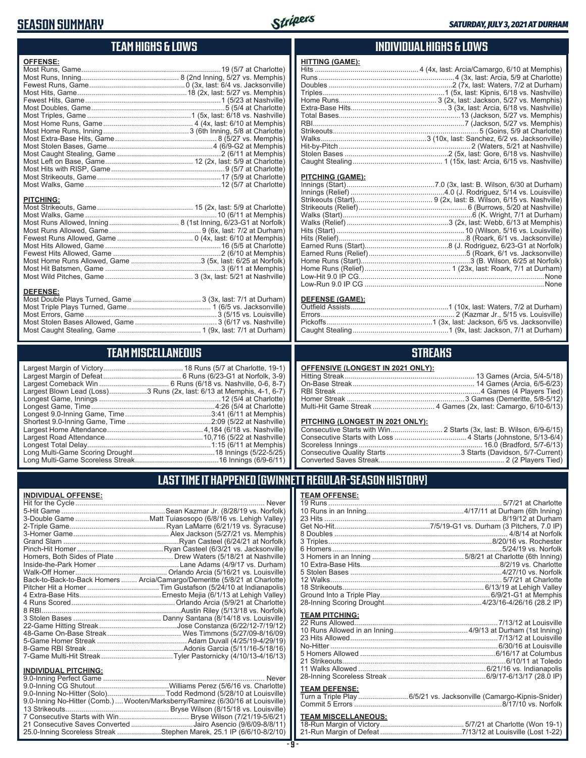#### **SEASON SUMMARY**

**DEFENSE:**

**INDIVIDUAL OFFENSE:**



#### **TEAM HIGHS & LOWS**

| <b>OFFENSE:</b>  |  |
|------------------|--|
|                  |  |
|                  |  |
|                  |  |
|                  |  |
|                  |  |
|                  |  |
|                  |  |
|                  |  |
|                  |  |
|                  |  |
|                  |  |
|                  |  |
|                  |  |
|                  |  |
|                  |  |
|                  |  |
|                  |  |
| <b>PITCHING:</b> |  |
|                  |  |
|                  |  |
|                  |  |
|                  |  |
|                  |  |
|                  |  |

Fewest Hits Allowed, Game ......................................................2 (6/10 at Memphis) Most Home Runs Allowed, Game ...................................3 (5x, last: 6/25 at Norfolk) Most Hit Batsmen, Game ..........................................................3 (6/11 at Memphis) Most Wild Pitches, Game ............................................ 3 (3x, last: 5/21 at Nashville)

Most Double Plays Turned, Game .................................. 3 (3x, last: 7/1 at Durham) Most Triple Plays Turned, Game .......................................... 1 (6/5 vs. Jacksonville) Most Errors, Game ..................................................................3 (5/15 vs. Louisville) Most Stolen Bases Allowed, Game ......................................... 3 (6/17 vs. Nashville) Most Caught Stealing, Game .......................................... 1 (9x, last: 7/1 at Durham)

**TEAM MISCELLANEOUS** Largest Margin of Victory........................................ 18 Runs (5/7 at Charlotte, 19-1) Largest Margin of Defeat ....................................... 6 Runs (6/23-G1 at Norfolk, 3-9) Largest Comeback Win ................................... 6 Runs (6/18 vs. Nashville, 0-6, 8-7) Largest Blown Lead (Loss)...................3 Runs (2x, last: 6/13 at Memphis, 4-1, 6-7) Longest Game, Innings .............................................................12 (5/4 at Charlotte) Longest Game, Time ..............................................................4:26 (5/4 at Charlotte) Longest 9.0-Inning Game, Time ...........................................3:41 (6/11 at Memphis) Shortest 9.0-Inning Game, Time ..........................................2:09 (5/22 at Nashville) Largest Home Attendance ................................................ 4,184 (6/18 vs. Nashville) Largest Road Attendance .................................................10,716 (5/22 at Nashville) Longest Total Delay..............................................................1:15 (6/11 at Memphis) Long Multi-Game Scoring Drought .........................................18 Innings (5/22-5/25) Long Multi-Game Scoreless Streak ..........................................16 Innings (6/9-6/11)

#### **INDIVIDUAL HIGHS & LOWS**

| . |                                                                                |
|---|--------------------------------------------------------------------------------|
|   | Hits ……………………………………………………………………………4 (4x, last: Arcia/Camargo, 6/10 at Memphis) |
|   |                                                                                |
|   |                                                                                |
|   |                                                                                |
|   |                                                                                |
|   |                                                                                |
|   |                                                                                |
|   |                                                                                |
|   |                                                                                |
|   |                                                                                |
|   |                                                                                |
|   |                                                                                |
|   |                                                                                |
|   |                                                                                |

#### **PITCHING (GAME):**

**HITTING (GAME):**

#### **DEFENSE (GAME):**

#### **STREAKS**

#### **PITCHING (LONGEST IN 2021 ONLY):**

19 Runs ....................................................................................... 5/7/21 at Charlotte 10 Runs in an Inning.................................................4/17/11 at Durham (6th Inning) 23 Hits .........................................................................................8/19/12 at Durham Get No-Hit................................................7/5/19-G1 vs. Durham (3 Pitchers, 7.0 IP) 8 Doubles ....................................................................................... 4/8/14 at Norfolk 3 Triples..................................................................................8/20/16 vs. Rochester 6 Homers.....................................................................................5/24/19 vs. Norfolk 3 Homers in an Inning ..............................................5/8/21 at Charlotte (6th Inning) 10 Extra-Base Hits......................................................................8/2/19 vs. Charlotte 5 Stolen Bases ............................................................................4/27/10 vs. Norfolk 12 Walks...................................................................................... 5/7/21 at Charlotte 18 Strikeouts....................................................................... 6/13/19 at Lehigh Valley Ground Into a Triple Play....................................................... 6/9/21-G1 at Memphis 28-Inning Scoring Drought.................................................4/23/16-4/26/16 (28.2 IP) **TEAM PITCHING:** 22 Runs Allowed........................................................................7/13/12 at Louisville 10 Runs Allowed in an Inning .....................................4/9/13 at Durham (1st Inning) 23 Hits Allowed ..........................................................................7/13/12 at Louisville No-Hitter ....................................................................................6/30/16 at Louisville 5 Homers Allowed ....................................................................6/16/17 at Columbus 21 Strikeouts..................................................................................6/10/11 at Toledo 11 Walks Allowed ................................................................6/21/16 vs. Indianapolis 28-Inning Scoreless Streak .................................................6/9/17-6/13/17 (28.0 IP)

Turn a Triple Play .........................6/5/21 vs. Jacksonville (Camargo-Kipnis-Snider) Commit 5 Errors ..........................................................................8/17/10 vs. Norfolk **TEAM MISCELLANEOUS:** 18-Run Margin of Victory .......................................... 5/7/21 at Charlotte (Won 19-1) 21-Run Margin of Defeat .........................................7/13/12 at Louisville (Lost 1-22)

#### **LAST TIME IT HAPPENED (GWINNETT REGULAR-SEASON HISTORY)**

**TEAM OFFENSE:**

**TEAM DEFENSE:**

|                             | Homers, Both Sides of Plate ………………………… Drew Waters (5/18/21 at Nashville)  |
|-----------------------------|----------------------------------------------------------------------------|
|                             |                                                                            |
|                             | Back-to-Back-to-Back Homers  Arcia/Camargo/Demeritte (5/8/21 at Charlotte) |
|                             |                                                                            |
|                             |                                                                            |
|                             |                                                                            |
|                             |                                                                            |
|                             |                                                                            |
|                             |                                                                            |
|                             |                                                                            |
|                             |                                                                            |
|                             |                                                                            |
|                             | 7-Game Multi-Hit Streak…Tyler Pastornicky (4/10/13-4/16/13)                |
| <b>INDIVIDUAL PITCHING:</b> |                                                                            |
|                             |                                                                            |

| 9.0-Inning No-Hitter (Solo)Todd Redmond (5/28/10 at Louisville)                 |  |
|---------------------------------------------------------------------------------|--|
| 9.0-Inning No-Hitter (Comb.)  Wooten/Marksberry/Ramirez (6/30/16 at Louisville) |  |
|                                                                                 |  |
|                                                                                 |  |
| 21 Consecutive Saves Converted Jairo Asencio (9/6/09-8/8/11)                    |  |
| 25.0-Inning Scoreless Streak Stephen Marek, 25.1 IP (6/6/10-8/2/10)             |  |
|                                                                                 |  |

#### **- 9 -**